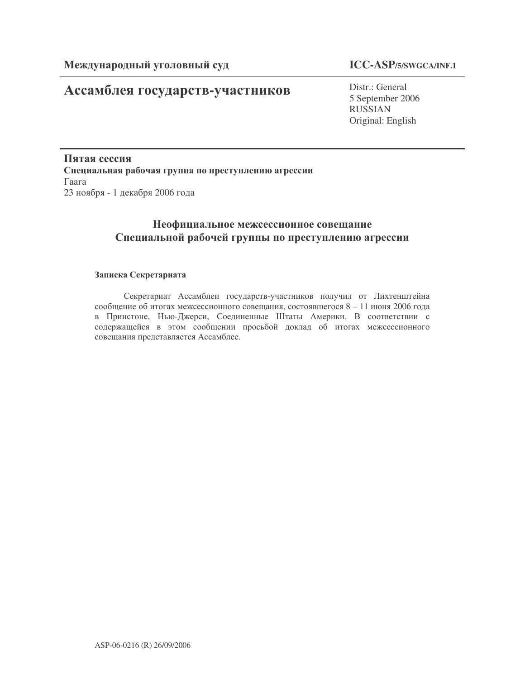# Ассамблея государств-участников

# **ICC-ASP/5/SWGCA/INF.1**

Distr.: General 5 September 2006 RUSSIAN Original: English

Пятая сессия Специальная рабочая группа по преступлению агрессии  $\Gamma$ aara 23 ноября - 1 декабря 2006 года

# Неофициальное межсессионное совещание Специальной рабочей группы по преступлению агрессии

## Записка Секретариата

Секретариат Ассамблеи государств-участников получил от Лихтенштейна сообщение об итогах межсессионного совещания, состоявшегося 8 - 11 июня 2006 года в Принстоне, Нью-Джерси, Соединенные Штаты Америки. В соответствии с содержащейся в этом сообщении просьбой доклад об итогах межсессионного совещания представляется Ассамблее.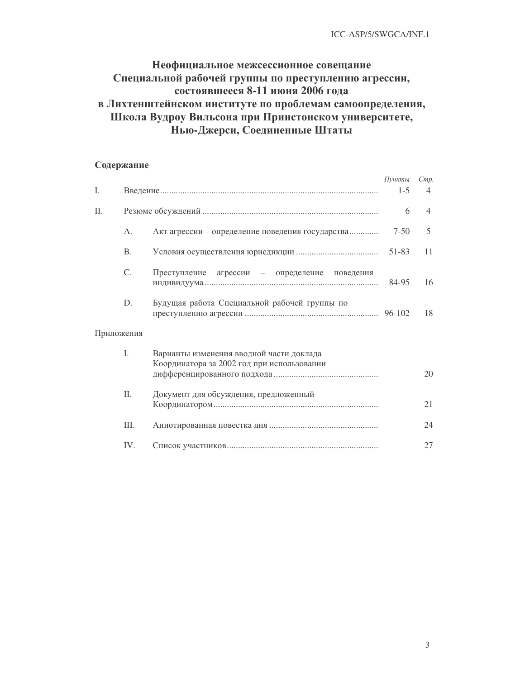# Неофициальное межсессионное совещание Специальной рабочей группы по преступлению агрессии, состоявшееся 8-11 июня 2006 года в Лихтенштейнском институте по проблемам самоопределения, Школа Вудроу Вильсона при Принстонском университете, Нью-Джерси, Соединенные Штаты

## Содержание

|            |           |                                                                                        | Пункты   | Cmp.           |
|------------|-----------|----------------------------------------------------------------------------------------|----------|----------------|
| I.         |           |                                                                                        | $1-5$    | 4              |
| Π.         |           |                                                                                        | 6        | $\overline{4}$ |
|            | A.        | Акт агрессии – определение поведения государства                                       | $7 - 50$ | 5              |
|            | <b>B.</b> |                                                                                        | 51-83    | 11             |
|            | C.        | Преступление агрессии - определение поведения                                          | 84-95    | 16             |
|            | D.        | Будущая работа Специальной рабочей группы по                                           |          | 18             |
| Приложения |           |                                                                                        |          |                |
|            | I.        | Варианты изменения вводной части доклада<br>Координатора за 2002 год при использовании |          | 20             |
|            | Π.        | Документ для обсуждения, предложенный                                                  |          | 21             |
|            | III.      |                                                                                        |          | 24             |
|            | IV.       |                                                                                        |          | 27             |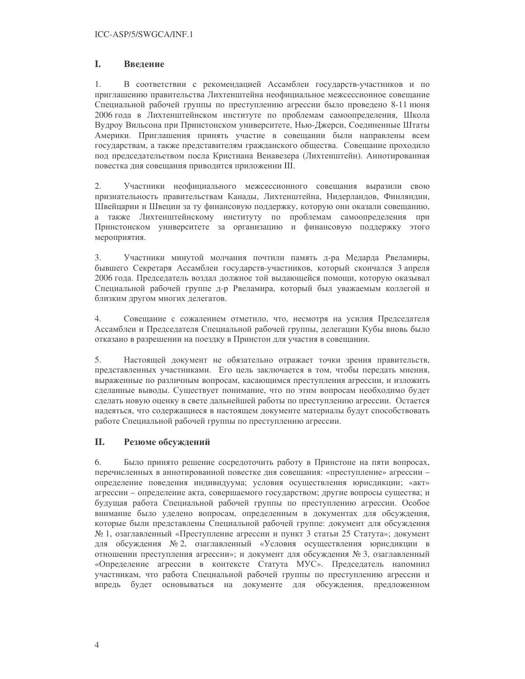#### $\mathbf{L}$ Ввеление

1. В соответствии с рекомендацией Ассамблеи государств-участников и по приглашению правительства Лихтенштейна неофициальное межсессионное совещание Специальной рабочей группы по преступлению агрессии было проведено 8-11 июня 2006 года в Лихтенштейнском институте по проблемам самоопределения, Школа Вудроу Вильсона при Принстонском университете, Нью-Джерси, Соединенные Штаты Америки. Приглашения принять участие в совещании были направлены всем государствам, а также представителям гражданского общества. Совещание проходило под председательством посла Кристиана Венавезера (Лихтенштейн). Аннотированная повестка дня совещания приводится приложении III.

2. Участники неофициального межсессионного совещания выразили свою признательность правительствам Канады, Лихтенштейна, Нидерландов, Финляндии, Швейцарии и Швеции за ту финансовую поддержку, которую они оказали совещанию, а также Лихтенштейнскому институту по проблемам самоопределения при Принстонском университете за организацию и финансовую поддержку этого мероприятия.

3. Участники минутой молчания почтили память д-ра Медарда Рвеламиры, бывшего Секретаря Ассамблеи государств-участников, который скончался 3 апреля 2006 года. Председатель воздал должное той выдающейся помощи, которую оказывал Специальной рабочей группе д-р Рвеламира, который был уважаемым коллегой и близким другом многих делегатов.

 $4.$ Совещание с сожалением отметило, что, несмотря на усилия Председателя Ассамблеи и Председателя Специальной рабочей группы, делегации Кубы вновь было отказано в разрешении на поездку в Принстон для участия в совещании.

5. Настоящей локумент не обязательно отражает точки зрения правительств. представленных участниками. Его цель заключается в том, чтобы передать мнения, выраженные по различным вопросам, касающимся преступления агрессии, и изложить сделанные выводы. Существует понимание, что по этим вопросам необходимо будет сделать новую оценку в свете дальнейшей работы по преступлению агрессии. Остается надеяться, что содержащиеся в настоящем документе материалы будут способствовать работе Специальной рабочей группы по преступлению агрессии.

#### II. Резюме обсуждений

6. Было принято решение сосредоточить работу в Принстоне на пяти вопросах, перечисленных в аннотированной повестке дня совещания: «преступление» агрессии определение поведения индивидуума; условия осуществления юрисдикции; «акт» агрессии - определение акта, совершаемого государством; другие вопросы существа; и будущая работа Специальной рабочей группы по преступлению агрессии. Особое внимание было уделено вопросам, определенным в документах для обсуждения, которые были представлены Специальной рабочей группе: документ для обсуждения  $\mathcal{N}_2$  1, озаглавленный «Преступление агрессии и пункт 3 статьи 25 Статута»; документ для обсуждения № 2, озаглавленный «Условия осуществления юрисдикции в отношении преступления агрессии»; и документ для обсуждения № 3, озаглавленный «Определение агрессии в контексте Статута МУС». Председатель напомнил участникам, что работа Специальной рабочей группы по преступлению агрессии и впредь будет основываться на документе для обсуждения, предложенном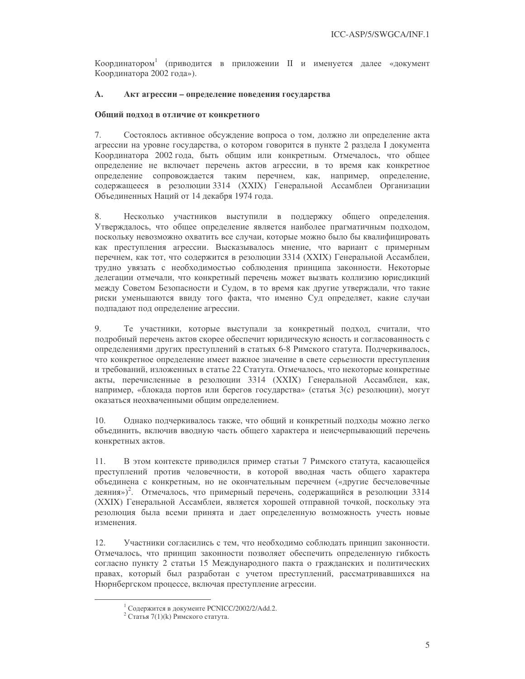Координатором<sup>1</sup> (приводится в приложении II и именуется далее «документ Координатора 2002 года»).

#### A. Акт агрессии - определение поведения государства

## Общий подход в отличие от конкретного

7. Состоялось активное обсуждение вопроса о том, должно ли определение акта агрессии на уровне государства, о котором говорится в пункте 2 раздела I документа Координатора 2002 года, быть общим или конкретным. Отмечалось, что общее определение не включает перечень актов агрессии, в то время как конкретное определение сопровождается таким перечнем, как, например, определение, содержащееся в резолюции 3314 (XXIX) Генеральной Ассамблеи Организации Объединенных Наций от 14 декабря 1974 года.

8. Несколько участников выступили в поддержку общего определения. Утверждалось, что общее определение является наиболее прагматичным подходом, поскольку невозможно охватить все случаи, которые можно было бы квалифицировать как преступления агрессии. Высказывалось мнение, что вариант с примерным перечнем, как тот, что содержится в резолюции 3314 (XXIX) Генеральной Ассамблеи, трудно увязать с необходимостью соблюдения принципа законности. Некоторые делегации отмечали, что конкретный перечень может вызвать коллизию юрисдикций между Советом Безопасности и Судом, в то время как другие утверждали, что такие риски уменьшаются ввиду того факта, что именно Суд определяет, какие случаи подпадают под определение агрессии.

9. Те участники, которые выступали за конкретный подход, считали, что подробный перечень актов скорее обеспечит юридическую ясность и согласованность с определениями других преступлений в статьях 6-8 Римского статута. Подчеркивалось, что конкретное определение имеет важное значение в свете серьезности преступления и требований, изложенных в статье 22 Статута. Отмечалось, что некоторые конкретные акты, перечисленные в резолюции 3314 (XXIX) Генеральной Ассамблеи, как, например, «блокада портов или берегов государства» (статья 3(с) резолюции), могут оказаться неохваченными общим определением.

 $10.$ Однако подчеркивалось также, что общий и конкретный подходы можно легко объединить, включив вводную часть общего характера и неисчерпывающий перечень конкретных актов.

В этом контексте приводился пример статьи 7 Римского статута, касающейся 11. преступлений против человечности, в которой вводная часть общего характера объединена с конкретным, но не окончательным перечнем («другие бесчеловечные деяния»)<sup>2</sup>. Отмечалось, что примерный перечень, содержащийся в резолюции 3314 (XXIX) Генеральной Ассамблеи, является хорошей отправной точкой, поскольку эта резолюция была всеми принята и дает определенную возможность учесть новые изменения.

12. Участники согласились с тем, что необходимо соблюдать принцип законности. Отмечалось, что принцип законности позволяет обеспечить определенную гибкость согласно пункту 2 статьи 15 Международного пакта о гражданских и политических правах, который был разработан с учетом преступлений, рассматривавшихся на Нюрнбергском процессе, включая преступление агрессии.

<sup>&</sup>lt;sup>1</sup> Содержится в документе PCNICC/2002/2/Add.2.

<sup>&</sup>lt;sup>2</sup> Статья 7(1)(k) Римского статута.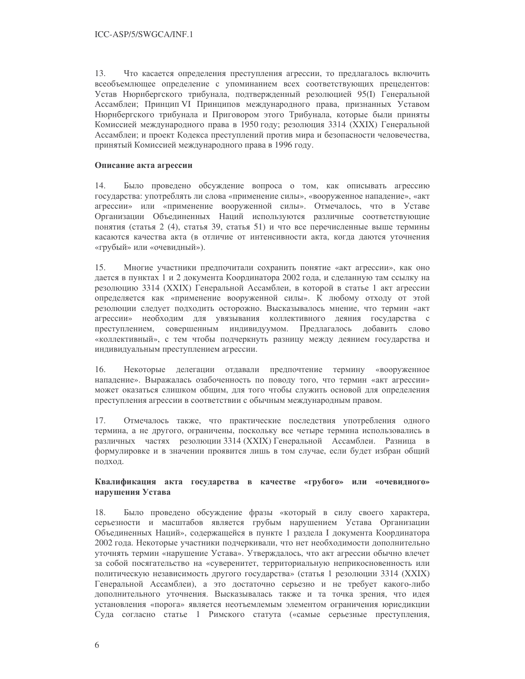$13.$ Что касается определения преступления агрессии, то предлагалось включить всеобъемлющее определение с упоминанием всех соответствующих прецедентов: Устав Нюрнбергского трибунала, подтвержденный резолюцией 95(I) Генеральной Ассамблеи; Принцип VI Принципов международного права, признанных Уставом Нюрнбергского трибунала и Приговором этого Трибунала, которые были приняты Комиссией международного права в 1950 году; резолюция 3314 (XXIX) Генеральной Ассамблеи; и проект Кодекса преступлений против мира и безопасности человечества, принятый Комиссией международного права в 1996 году.

## Описание акта агрессии

14. Было проведено обсуждение вопроса о том, как описывать агрессию государства: употреблять ли слова «применение силы», «вооруженное нападение», «акт агрессии» или «применение вооруженной силы». Отмечалось, что в Уставе Организации Объединенных Наций используются различные соответствующие понятия (статья 2 (4), статья 39, статья 51) и что все перечисленные выше термины касаются качества акта (в отличие от интенсивности акта, когда даются уточнения «грубый» или «очевидный»).

 $15.$ Многие участники предпочитали сохранить понятие «акт агрессии», как оно дается в пунктах 1 и 2 документа Координатора 2002 года, и сделанную там ссылку на резолюцию 3314 (XXIX) Генеральной Ассамблеи, в которой в статье 1 акт агрессии определяется как «применение вооруженной силы». К любому отходу от этой резолюции следует подходить осторожно. Высказывалось мнение, что термин «акт агрессии» необходим для увязывания коллективного деяния государства с преступлением, совершенным индивидуумом. Предлагалось добавить слово «коллективный», с тем чтобы подчеркнуть разницу между деянием государства и индивидуальным преступлением агрессии.

16. Некоторые делегации отдавали предпочтение термину «вооруженное нападение». Выражалась озабоченность по поводу того, что термин «акт агрессии» может оказаться слишком общим, для того чтобы служить основой для определения преступления агрессии в соответствии с обычным международным правом.

17. Отмечалось также, что практические последствия употребления одного термина, а не другого, ограничены, поскольку все четыре термина использовались в различных частях резолюции 3314 (XXIX) Генеральной Ассамблеи. Разница в формулировке и в значении проявится лишь в том случае, если будет избран общий подход.

## Квалификация акта государства в качестве «грубого» или «очевидного» нарушения Устава

18 Было проведено обсуждение фразы «который в силу своего характера, серьезности и масштабов является грубым нарушением Устава Организации Объединенных Наций», содержащейся в пункте 1 раздела I документа Координатора 2002 года. Некоторые участники подчеркивали, что нет необходимости дополнительно уточнять термин «нарушение Устава». Утверждалось, что акт агрессии обычно влечет за собой посягательство на «суверенитет, территориальную неприкосновенность или политическую независимость другого государства» (статья 1 резолюции 3314 (XXIX) Генеральной Ассамблеи), а это достаточно серьезно и не требует какого-либо дополнительного уточнения. Высказывалась также и та точка зрения, что идея установления «порога» является неотъемлемым элементом ограничения юрисдикции Суда согласно статье 1 Римского статута («самые серьезные преступления,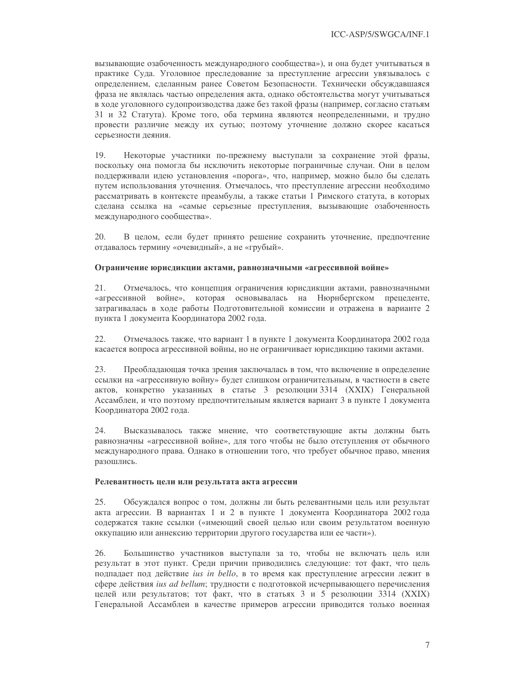вызывающие озабоченность международного сообщества»), и она будет учитываться в практике Суда. Уголовное преследование за преступление агрессии увязывалось с определением, сделанным ранее Советом Безопасности. Технически обсуждавшаяся фраза не являлась частью определения акта, однако обстоятельства могут учитываться в ходе уголовного судопроизводства даже без такой фразы (например, согласно статьям 31 и 32 Статута). Кроме того, оба термина являются неопределенными, и трудно провести различие между их сутью; поэтому уточнение должно скорее касаться серьезности деяния.

19. Некоторые участники по-прежнему выступали за сохранение этой фразы, поскольку она помогла бы исключить некоторые пограничные случаи. Они в целом поддерживали идею установления «порога», что, например, можно было бы сделать путем использования уточнения. Отмечалось, что преступление агрессии необходимо рассматривать в контексте преамбулы, а также статьи 1 Римского статута, в которых сделана ссылка на «самые серьезные преступления, вызывающие озабоченность международного сообщества».

20. В целом, если будет принято решение сохранить уточнение, предпочтение отдавалось термину «очевидный», а не «грубый».

## Ограничение юрисдикции актами, равнозначными «агрессивной войне»

21. Отмечалось, что концепция ограничения юрисдикции актами, равнозначными «агрессивной войне», которая основывалась на Нюрнбергском прецеденте, затрагивалась в ходе работы Подготовительной комиссии и отражена в варианте 2 пункта 1 документа Координатора 2002 года.

22. Отмечалось также, что вариант 1 в пункте 1 документа Координатора 2002 года касается вопроса агрессивной войны, но не ограничивает юрисдикцию такими актами.

23. Преобладающая точка зрения заключалась в том, что включение в определение ссылки на «агрессивную войну» будет слишком ограничительным, в частности в свете актов, конкретно указанных в статье 3 резолюции 3314 (XXIX) Генеральной Ассамблеи, и что поэтому предпочтительным является вариант 3 в пункте 1 документа Координатора 2002 года.

24. Высказывалось также мнение, что соответствующие акты должны быть равнозначны «агрессивной войне», для того чтобы не было отступления от обычного международного права. Однако в отношении того, что требует обычное право, мнения разошлись.

## Релевантность цели или результата акта агрессии

25. Обсуждался вопрос о том, должны ли быть релевантными цель или результат акта агрессии. В вариантах 1 и 2 в пункте 1 документа Координатора 2002 года содержатся такие ссылки («имеющий своей целью или своим результатом военную оккупацию или аннексию территории другого государства или ее части»).

26. Большинство участников выступали за то, чтобы не включать цель или результат в этот пункт. Среди причин приводились следующие: тот факт, что цель подпадает под действие ius in bello, в то время как преступление агрессии лежит в сфере действия *ius ad bellum*; трудности с подготовкой исчерпывающего перечисления целей или результатов; тот факт, что в статьях 3 и 5 резолюции 3314 (XXIX) Генеральной Ассамблеи в качестве примеров агрессии приводится только военная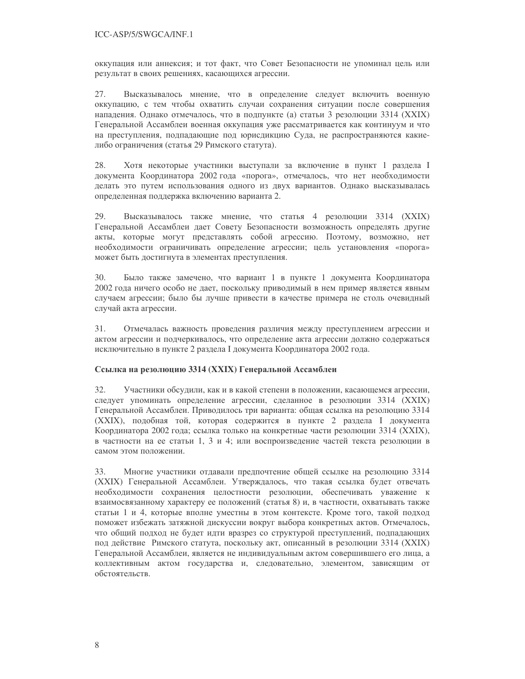оккупация или аннексия; и тот факт, что Совет Безопасности не упоминал цель или результат в своих решениях, касающихся агрессии.

Высказывалось мнение, что в определение следует включить военную 27. оккупацию, с тем чтобы охватить случаи сохранения ситуации после совершения нападения. Однако отмечалось, что в подпункте (а) статьи 3 резолюции 3314 (XXIX) Генеральной Ассамблеи военная оккупация уже рассматривается как континуум и что на преступления, подпадающие под юрисдикцию Суда, не распространяются какиелибо ограничения (статья 29 Римского статута).

Хотя некоторые участники выступали за включение в пункт 1 раздела I 28. документа Координатора 2002 года «порога», отмечалось, что нет необходимости делать это путем использования одного из двух вариантов. Однако высказывалась определенная поддержка включению варианта 2.

29. Высказывалось также мнение, что статья 4 резолюции 3314 (XXIX) Генеральной Ассамблеи дает Совету Безопасности возможность определять другие акты, которые могут представлять собой агрессию. Поэтому, возможно, нет необходимости ограничивать определение агрессии; цель установления «порога» может быть достигнута в элементах преступления.

30. Было также замечено, что вариант 1 в пункте 1 документа Координатора 2002 года ничего особо не дает, поскольку приводимый в нем пример является явным случаем агрессии; было бы лучше привести в качестве примера не столь очевидный случай акта агрессии.

 $31.$ Отмечалась важность проведения различия между преступлением агрессии и актом агрессии и подчеркивалось, что определение акта агрессии должно содержаться исключительно в пункте 2 раздела I документа Координатора 2002 года.

## Ссылка на резолюцию 3314 (XXIX) Генеральной Ассамблеи

 $32.$ Участники обсудили, как и в какой степени в положении, касающемся агрессии, следует упоминать определение агрессии, сделанное в резолюции 3314 (XXIX) Генеральной Ассамблеи. Приводилось три варианта: общая ссылка на резолюцию 3314 (XXIX), подобная той, которая содержится в пункте 2 раздела I документа Координатора 2002 года; ссылка только на конкретные части резолюции 3314 (XXIX), в частности на ее статьи 1, 3 и 4; или воспроизведение частей текста резолюции в самом этом положении.

Многие участники отдавали предпочтение общей ссылке на резолюцию 3314 33. (XXIX) Генеральной Ассамблеи. Утверждалось, что такая ссылка будет отвечать необходимости сохранения целостности резолюции, обеспечивать уважение к взаимосвязанному характеру ее положений (статья 8) и, в частности, охватывать также статьи 1 и 4, которые вполне уместны в этом контексте. Кроме того, такой подход поможет избежать затяжной дискуссии вокруг выбора конкретных актов. Отмечалось, что общий подход не будет идти вразрез со структурой преступлений, подпадающих под действие Римского статута, поскольку акт, описанный в резолюции 3314 (XXIX) Генеральной Ассамблеи, является не индивидуальным актом совершившего его лица, а коллективным актом государства и, следовательно, элементом, зависящим от обстоятельств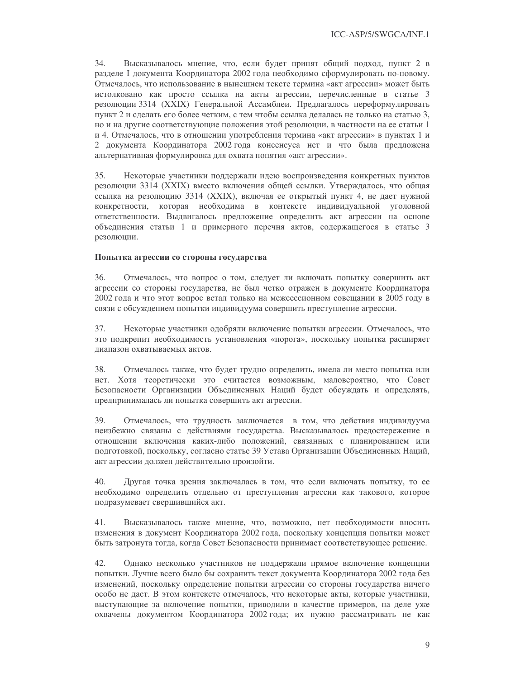$34.$ Высказывалось мнение, что, если будет принят общий подход, пункт 2 в разделе I документа Координатора 2002 года необходимо сформулировать по-новому. Отмечалось, что использование в нынешнем тексте термина «акт агрессии» может быть истолковано как просто ссылка на акты агрессии, перечисленные в статье 3 резолюции 3314 (XXIX) Генеральной Ассамблеи. Предлагалось переформулировать пункт 2 и сделать его более четким, с тем чтобы ссылка делалась не только на статью 3, но и на другие соответствующие положения этой резолюции, в частности на ее статьи 1 и 4. Отмечалось, что в отношении употребления термина «акт агрессии» в пунктах 1 и 2 документа Координатора 2002 года консенсуса нет и что была предложена альтернативная формулировка для охвата понятия «акт агрессии».

35. Некоторые участники поддержали идею воспроизведения конкретных пунктов резолюции 3314 (XXIX) вместо включения общей ссылки. Утверждалось, что общая ссылка на резолюцию 3314 (XXIX), включая ее открытый пункт 4, не дает нужной конкретности, которая необходима в контексте индивидуальной уголовной ответственности. Выдвигалось предложение определить акт агрессии на основе объединения статьи 1 и примерного перечня актов, содержащегося в статье 3 резолюции.

## Попытка агрессии со стороны государства

36. Отмечалось, что вопрос о том, следует ли включать попытку совершить акт агрессии со стороны государства, не был четко отражен в документе Координатора 2002 года и что этот вопрос встал только на межсессионном совещании в 2005 году в связи с обсуждением попытки индивидуума совершить преступление агрессии.

Некоторые участники одобряли включение попытки агрессии. Отмечалось, что 37. это подкрепит необходимость установления «порога», поскольку попытка расширяет диапазон охватываемых актов.

38. Отмечалось также, что будет трудно определить, имела ли место попытка или нет. Хотя теоретически это считается возможным, маловероятно, что Совет Безопасности Организации Объединенных Наций будет обсуждать и определять, предпринималась ли попытка совершить акт агрессии.

39. Отмечалось, что трудность заключается в том, что действия индивидуума неизбежно связаны с действиями государства. Высказывалось предостережение в отношении включения каких-либо положений, связанных с планированием или подготовкой, поскольку, согласно статье 39 Устава Организации Объединенных Наций, акт агрессии должен действительно произойти.

40. Другая точка зрения заключалась в том, что если включать попытку, то ее необходимо определить отдельно от преступления агрессии как такового, которое подразумевает свершившийся акт.

41. Высказывалось также мнение, что, возможно, нет необходимости вносить изменения в документ Координатора 2002 года, поскольку концепция попытки может быть затронута тогда, когда Совет Безопасности принимает соответствующее решение.

42. Однако несколько участников не поддержали прямое включение концепции попытки. Лучше всего было бы сохранить текст документа Координатора 2002 года без изменений, поскольку определение попытки агрессии со стороны государства ничего особо не даст. В этом контексте отмечалось, что некоторые акты, которые участники, выступающие за включение попытки, приводили в качестве примеров, на деле уже охвачены документом Координатора 2002 года; их нужно рассматривать не как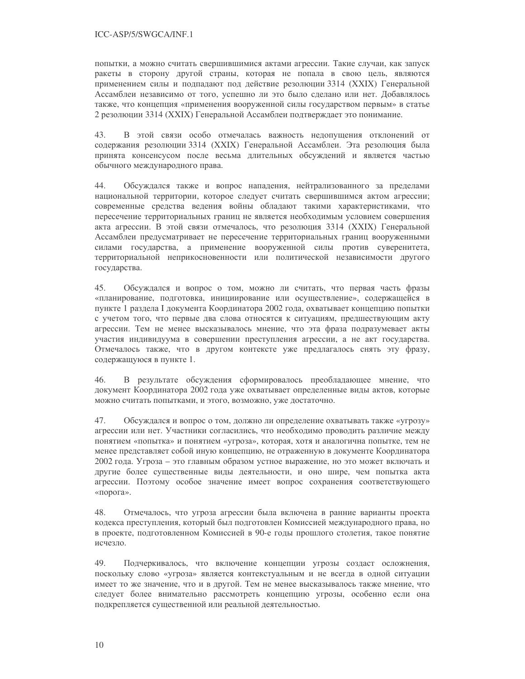попытки, а можно считать свершившимися актами агрессии. Такие случаи, как запуск ракеты в сторону другой страны, которая не попала в свою цель, являются применением силы и подпадают под действие резолюции 3314 (XXIX) Генеральной Ассамблеи независимо от того, успешно ли это было сделано или нет. Добавлялось также, что концепция «применения вооруженной силы государством первым» в статье 2 резолюции 3314 (XXIX) Генеральной Ассамблеи подтверждает это понимание.

43. В этой связи особо отмечалась важность недопущения отклонений от содержания резолюции 3314 (XXIX) Генеральной Ассамблеи. Эта резолюция была принята консенсусом после весьма длительных обсуждений и является частью обычного международного права.

44. Обсуждался также и вопрос нападения, нейтрализованного за пределами национальной территории, которое следует считать свершившимся актом агрессии; современные средства ведения войны обладают такими характеристиками, что пересечение территориальных границ не является необходимым условием совершения акта агрессии. В этой связи отмечалось, что резолюция 3314 (XXIX) Генеральной Ассамблеи предусматривает не пересечение территориальных границ вооруженными силами государства, а применение вооруженной силы против суверенитета, территориальной неприкосновенности или политической независимости другого государства.

45. Обсуждался и вопрос о том, можно ли считать, что первая часть фразы «планирование, подготовка, инициирование или осуществление», содержащейся в пункте 1 раздела I документа Координатора 2002 года, охватывает концепцию попытки с учетом того, что первые два слова относятся к ситуациям, предшествующим акту агрессии. Тем не менее высказывалось мнение, что эта фраза подразумевает акты участия индивидуума в совершении преступления агрессии, а не акт государства. Отмечалось также, что в другом контексте уже предлагалось снять эту фразу, содержащуюся в пункте 1.

46. В результате обсуждения сформировалось преобладающее мнение, что документ Координатора 2002 года уже охватывает определенные виды актов, которые можно считать попытками, и этого, возможно, уже достаточно.

47. Обсуждался и вопрос о том, должно ли определение охватывать также «угрозу» агрессии или нет. Участники согласились, что необходимо проводить различие между понятием «попытка» и понятием «угроза», которая, хотя и аналогична попытке, тем не менее представляет собой иную концепцию, не отраженную в документе Координатора 2002 года. Угроза – это главным образом устное выражение, но это может включать и другие более существенные виды деятельности, и оно шире, чем попытка акта агрессии. Поэтому особое значение имеет вопрос сохранения соответствующего «порога».

48 Отмечалось, что угроза агрессии была включена в ранние варианты проекта кодекса преступления, который был подготовлен Комиссией международного права, но в проекте, подготовленном Комиссией в 90-е годы прошлого столетия, такое понятие исчезло.

49. Подчеркивалось, что включение концепции угрозы создаст осложнения, поскольку слово «угроза» является контекстуальным и не всегда в одной ситуации имеет то же значение, что и в другой. Тем не менее высказывалось также мнение, что следует более внимательно рассмотреть концепцию угрозы, особенно если она подкрепляется существенной или реальной деятельностью.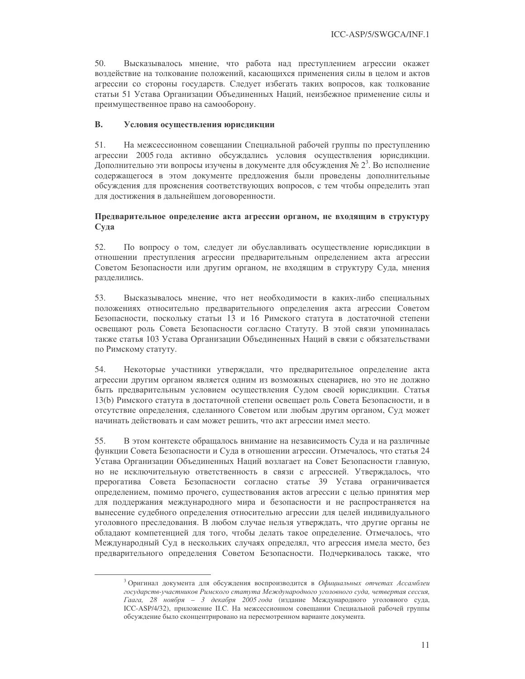$50<sub>1</sub>$ Высказывалось мнение, что работа над преступлением агрессии окажет воздействие на толкование положений, касающихся применения силы в целом и актов агрессии со стороны государств. Следует избегать таких вопросов, как толкование статьи 51 Устава Организации Объединенных Наций, неизбежное применение силы и преимущественное право на самооборону.

#### **B.** Условия осуществления юрисдикции

51. На межсессионном совещании Специальной рабочей группы по преступлению агрессии 2005 года активно обсуждались условия осуществления юрисдикции. Дополнительно эти вопросы изучены в документе для обсуждения № 2<sup>3</sup>. Во исполнение содержащегося в этом документе предложения были проведены дополнительные обсуждения для прояснения соответствующих вопросов, с тем чтобы определить этап для достижения в дальнейшем договоренности.

## Предварительное определение акта агрессии органом, не входящим в структуру Суда

52. По вопросу о том, следует ли обуславливать осуществление юрисдикции в отношении преступления агрессии предварительным определением акта агрессии Советом Безопасности или другим органом, не входящим в структуру Суда, мнения разделились.

Высказывалось мнение, что нет необходимости в каких-либо специальных 53. положениях относительно предварительного определения акта агрессии Советом Безопасности, поскольку статьи 13 и 16 Римского статута в достаточной степени освещают роль Совета Безопасности согласно Статуту. В этой связи упоминалась также статья 103 Устава Организации Объединенных Наций в связи с обязательствами по Римскому статуту.

54. Некоторые участники утверждали, что предварительное определение акта агрессии другим органом является одним из возможных сценариев, но это не должно быть предварительным условием осуществления Судом своей юрисдикции. Статья 13(b) Римского статута в достаточной степени освещает роль Совета Безопасности, и в отсутствие определения, сделанного Советом или любым другим органом, Суд может начинать действовать и сам может решить, что акт агрессии имел место.

В этом контексте обращалось внимание на независимость Суда и на различные 55. функции Совета Безопасности и Суда в отношении агрессии. Отмечалось, что статья 24 Устава Организации Объединенных Наций возлагает на Совет Безопасности главную, но не исключительную ответственность в связи с агрессией. Утверждалось, что прерогатива Совета Безопасности согласно статье 39 Устава ограничивается определением, помимо прочего, существования актов агрессии с целью принятия мер для поддержания международного мира и безопасности и не распространяется на вынесение судебного определения относительно агрессии для целей индивидуального уголовного преследования. В любом случае нельзя утверждать, что другие органы не обладают компетенцией для того, чтобы делать такое определение. Отмечалось, что Международный Суд в нескольких случаях определял, что агрессия имела место, без предварительного определения Советом Безопасности. Подчеркивалось также, что

<sup>&</sup>lt;sup>3</sup> Оригинал документа для обсуждения воспроизводится в Официальных отчетах Ассамблеи государств-участников Римского статута Международного уголовного суда, четвертая сессия, Гаага, 28 ноября - 3 декабря 2005 года (издание Международного уголовного суда, ICC-ASP/4/32), приложение II.C. На межсессионном совещании Специальной рабочей группы обсуждение было сконцентрировано на пересмотренном варианте документа.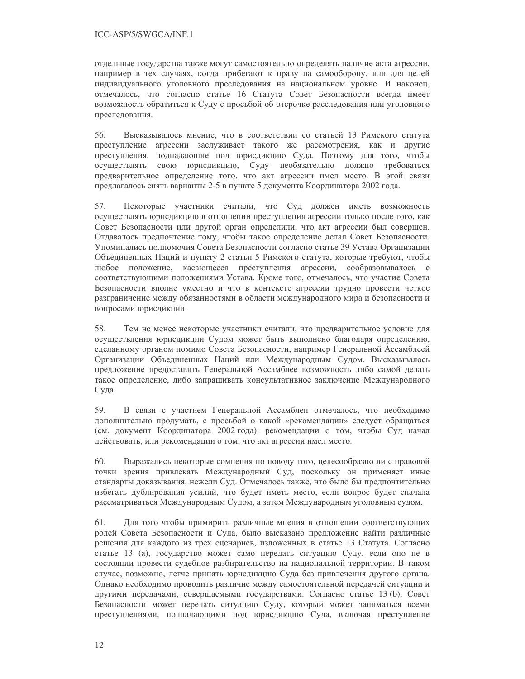отдельные государства также могут самостоятельно определять наличие акта агрессии, например в тех случаях, когда прибегают к праву на самооборону, или для целей индивидуального уголовного преследования на национальном уровне. И наконец, отмечалось, что согласно статье 16 Статута Совет Безопасности всегда имеет возможность обратиться к Суду с просьбой об отсрочке расследования или уголовного преследования.

56. Высказывалось мнение, что в соответствии со статьей 13 Римского статута преступление агрессии заслуживает такого же рассмотрения, как и другие преступления, подпадающие под юрисдикцию Суда. Поэтому для того, чтобы осуществлять свою юрисдикцию, Суду необязательно должно требоваться предварительное определение того, что акт агрессии имел место. В этой связи предлагалось снять варианты 2-5 в пункте 5 документа Координатора 2002 года.

57. Некоторые участники считали, что Суд должен иметь возможность осуществлять юрисдикцию в отношении преступления агрессии только после того, как Совет Безопасности или другой орган определили, что акт агрессии был совершен. Отдавалось предпочтение тому, чтобы такое определение делал Совет Безопасности. Упоминались полномочия Совета Безопасности согласно статье 39 Устава Организации Объединенных Наций и пункту 2 статьи 5 Римского статута, которые требуют, чтобы любое положение, касающееся преступления агрессии, сообразовывалось с соответствующими положениями Устава. Кроме того, отмечалось, что участие Совета Безопасности вполне уместно и что в контексте агрессии трудно провести четкое разграничение между обязанностями в области международного мира и безопасности и вопросами юрисдикции.

58. Тем не менее некоторые участники считали, что предварительное условие для осуществления юрисдикции Судом может быть выполнено благодаря определению, сделанному органом помимо Совета Безопасности, например Генеральной Ассамблеей Организации Объединенных Наций или Международным Судом. Высказывалось предложение предоставить Генеральной Ассамблее возможность либо самой делать такое определение, либо запрашивать консультативное заключение Международного Суда.

59. В связи с участием Генеральной Ассамблеи отмечалось, что необходимо дополнительно продумать, с просьбой о какой «рекомендации» следует обращаться (см. документ Координатора 2002 года): рекомендации о том, чтобы Суд начал действовать, или рекомендации о том, что акт агрессии имел место.

60. Выражались некоторые сомнения по поводу того, целесообразно ли с правовой точки зрения привлекать Международный Суд, поскольку он применяет иные стандарты доказывания, нежели Суд. Отмечалось также, что было бы предпочтительно избегать дублирования усилий, что будет иметь место, если вопрос будет сначала рассматриваться Международным Судом, а затем Международным уголовным судом.

Для того чтобы примирить различные мнения в отношении соответствующих 61. ролей Совета Безопасности и Суда, было высказано предложение найти различные решения для каждого из трех сценариев, изложенных в статье 13 Статута. Согласно статье 13 (а), государство может само передать ситуацию Суду, если оно не в состоянии провести судебное разбирательство на национальной территории. В таком случае, возможно, легче принять юрисдикцию Суда без привлечения другого органа. Однако необходимо проводить различие между самостоятельной передачей ситуации и другими передачами, совершаемыми государствами. Согласно статье 13 (b), Совет Безопасности может передать ситуацию Суду, который может заниматься всеми преступлениями, подпадающими под юрисдикцию Суда, включая преступление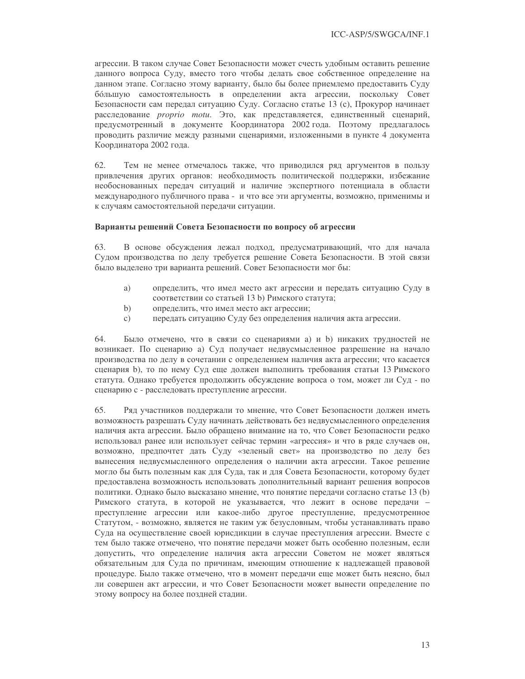агрессии. В таком случае Совет Безопасности может счесть удобным оставить решение данного вопроса Суду, вместо того чтобы делать свое собственное определение на данном этапе. Согласно этому варианту, было бы более приемлемо предоставить Суду большую самостоятельность в определении акта агрессии, поскольку Совет Безопасности сам передал ситуацию Суду. Согласно статье 13 (с), Прокурор начинает расследование *proprio motu*. Это, как представляется, единственный сценарий, предусмотренный в документе Координатора 2002 года. Поэтому предлагалось проводить различие между разными сценариями, изложенными в пункте 4 документа Координатора 2002 года.

62. Тем не менее отмечалось также, что приводился ряд аргументов в пользу привлечения других органов: необходимость политической поддержки, избежание необоснованных передач ситуаций и наличие экспертного потенциала в области международного публичного права - и что все эти аргументы, возможно, применимы и к случаям самостоятельной передачи ситуации.

## Варианты решений Совета Безопасности по вопросу об агрессии

63. В основе обсуждения лежал подход, предусматривающий, что для начала Судом производства по делу требуется решение Совета Безопасности. В этой связи было выделено три варианта решений. Совет Безопасности мог бы:

- определить, что имел место акт агрессии и передать ситуацию Суду в a) соответствии со статьей 13 b) Римского статута;
- $b)$ определить, что имел место акт агрессии;
- передать ситуацию Суду без определения наличия акта агрессии.  $\mathcal{C}$ )

64. Было отмечено, что в связи со сценариями а) и b) никаких трудностей не возникает. По сценарию а) Суд получает недвусмысленное разрешение на начало производства по делу в сочетании с определением наличия акта агрессии; что касается сценария b), то по нему Суд еще должен выполнить требования статьи 13 Римского статута. Однако требуется продолжить обсуждение вопроса о том, может ли Суд - по сценарию с - расследовать преступление агрессии.

Ряд участников поддержали то мнение, что Совет Безопасности должен иметь 65. возможность разрешать Суду начинать действовать без недвусмысленного определения наличия акта агрессии. Было обращено внимание на то, что Совет Безопасности редко использовал ранее или использует сейчас термин «агрессия» и что в ряде случаев он, возможно, предпочтет дать Суду «зеленый свет» на производство по делу без вынесения недвусмысленного определения о наличии акта агрессии. Такое решение могло бы быть полезным как для Суда, так и для Совета Безопасности, которому будет предоставлена возможность использовать дополнительный вариант решения вопросов политики. Однако было высказано мнение, что понятие передачи согласно статье 13 (b) Римского статута, в которой не указывается, что лежит в основе передачи преступление агрессии или какое-либо другое преступление, предусмотренное Статутом, - возможно, является не таким уж безусловным, чтобы устанавливать право Суда на осуществление своей юрисдикции в случае преступления агрессии. Вместе с тем было также отмечено, что понятие передачи может быть особенно полезным, если допустить, что определение наличия акта агрессии Советом не может являться обязательным для Суда по причинам, имеющим отношение к надлежащей правовой процедуре. Было также отмечено, что в момент передачи еще может быть неясно, был ли совершен акт агрессии, и что Совет Безопасности может вынести определение по этому вопросу на более поздней стадии.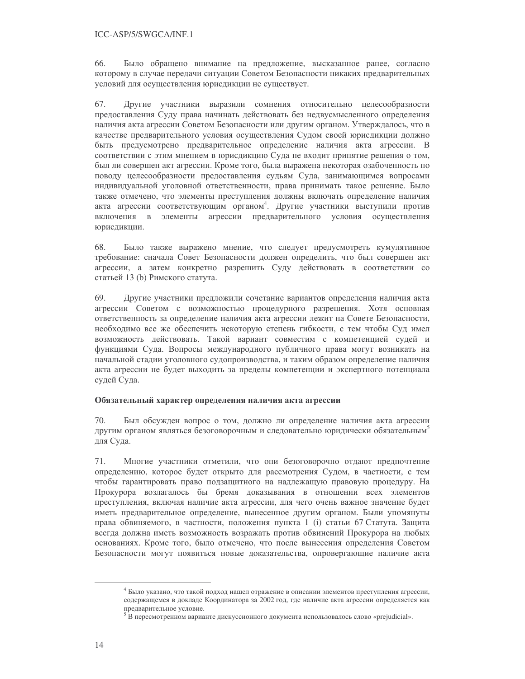66. Было обращено внимание на предложение, высказанное ранее, согласно которому в случае передачи ситуации Советом Безопасности никаких предварительных условий для осуществления юрисдикции не существует.

Другие участники выразили сомнения относительно целесообразности 67. предоставления Суду права начинать действовать без недвусмысленного определения наличия акта агрессии Советом Безопасности или другим органом. Утверждалось, что в качестве предварительного условия осуществления Судом своей юрисдикции должно быть предусмотрено предварительное определение наличия акта агрессии. В соответствии с этим мнением в юрисдикцию Суда не входит принятие решения о том, был ли совершен акт агрессии. Кроме того, была выражена некоторая озабоченность по поводу целесообразности предоставления судьям Суда, занимающимся вопросами индивидуальной уголовной ответственности, права принимать такое решение. Было также отмечено, что элементы преступления должны включать определение наличия акта агрессии соответствующим органом<sup>4</sup>. Другие участники выступили против включения в элементы агрессии предварительного условия осуществления юрисдикции.

68. Было также выражено мнение, что следует предусмотреть кумулятивное требование: сначала Совет Безопасности должен определить, что был совершен акт агрессии, а затем конкретно разрешить Суду действовать в соответствии со статьей 13 (b) Римского статута.

69. Другие участники предложили сочетание вариантов определения наличия акта агрессии Советом с возможностью процедурного разрешения. Хотя основная ответственность за определение наличия акта агрессии лежит на Совете Безопасности, необходимо все же обеспечить некоторую степень гибкости, с тем чтобы Суд имел возможность действовать. Такой вариант совместим с компетенцией судей и функциями Суда. Вопросы международного публичного права могут возникать на начальной стадии уголовного судопроизводства, и таким образом определение наличия акта агрессии не будет выходить за пределы компетенции и экспертного потенциала судей Суда.

## Обязательный характер определения наличия акта агрессии

70. Был обсужден вопрос о том, должно ли определение наличия акта агрессии другим органом являться безоговорочным и следовательно юридически обязательным<sup>3</sup> для Суда.

71. Многие участники отметили, что они безоговорочно отдают предпочтение определению, которое будет открыто для рассмотрения Судом, в частности, с тем чтобы гарантировать право подзащитного на надлежащую правовую процедуру. На Прокурора возлагалось бы бремя доказывания в отношении всех элементов преступления, включая наличие акта агрессии, для чего очень важное значение будет иметь предварительное определение, вынесенное другим органом. Были упомянуты права обвиняемого, в частности, положения пункта 1 (i) статьи 67 Статута. Защита всегда должна иметь возможность возражать против обвинений Прокурора на любых основаниях. Кроме того, было отмечено, что после вынесения определения Советом Безопасности могут появиться новые доказательства, опровергающие наличие акта

<sup>4</sup> Было указано, что такой подход нашел отражение в описании элементов преступления агрессии, содержащемся в докладе Координатора за 2002 год, где наличие акта агрессии определяется как предварительное условие.

<sup>&</sup>lt;sup>5</sup> В пересмотренном варианте дискуссионного документа использовалось слово «prejudicial».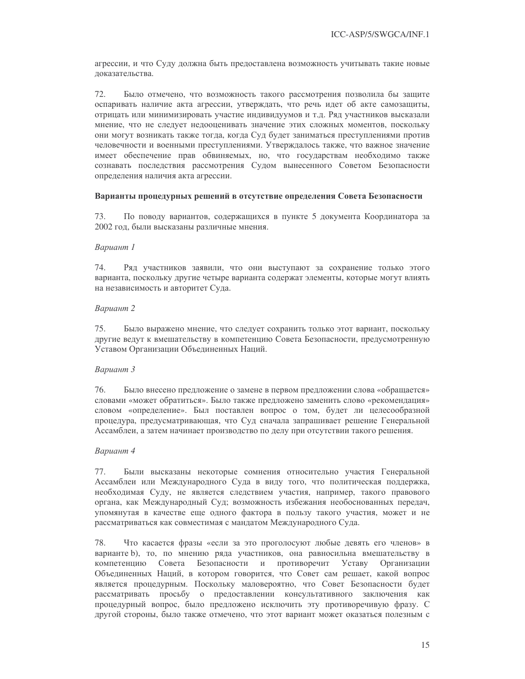агрессии, и что Суду должна быть предоставлена возможность учитывать такие новые локазательства.

72. Было отмечено, что возможность такого рассмотрения позволила бы защите оспаривать наличие акта агрессии, утверждать, что речь идет об акте самозащиты, отрицать или минимизировать участие индивидуумов и т.д. Ряд участников высказали мнение, что не следует недооценивать значение этих сложных моментов, поскольку они могут возникать также тогда, когда Суд будет заниматься преступлениями против человечности и военными преступлениями. Утверждалось также, что важное значение имеет обеспечение прав обвиняемых, но, что государствам необходимо также сознавать последствия рассмотрения Судом вынесенного Советом Безопасности определения наличия акта агрессии.

## Варианты процедурных решений в отсутствие определения Совета Безопасности

73. По поводу вариантов, содержащихся в пункте 5 документа Координатора за 2002 год, были высказаны различные мнения.

## Вариант 1

74. Ряд участников заявили, что они выступают за сохранение только этого варианта, поскольку другие четыре варианта содержат элементы, которые могут влиять на независимость и авторитет Суда.

## Вариант 2

75. Было выражено мнение, что следует сохранить только этот вариант, поскольку другие ведут к вмешательству в компетенцию Совета Безопасности, предусмотренную Уставом Организации Объединенных Наций.

## Вариант 3

76. Было внесено предложение о замене в первом предложении слова «обращается» словами «может обратиться». Было также предложено заменить слово «рекомендация» словом «определение». Был поставлен вопрос о том, будет ли целесообразной процедура, предусматривающая, что Суд сначала запрашивает решение Генеральной Ассамблеи, а затем начинает производство по делу при отсутствии такого решения.

## Вариант 4

Были высказаны некоторые сомнения относительно участия Генеральной 77. Ассамблеи или Международного Суда в виду того, что политическая поддержка, необходимая Суду, не является следствием участия, например, такого правового органа, как Международный Суд; возможность избежания необоснованных передач, упомянутая в качестве еще одного фактора в пользу такого участия, может и не рассматриваться как совместимая с мандатом Международного Суда.

78. Что касается фразы «если за это проголосуют любые девять его членов» в варианте b), то, по мнению ряда участников, она равносильна вмешательству в компетенцию Совета Безопасности и противоречит Уставу Организации Объединенных Наций, в котором говорится, что Совет сам решает, какой вопрос является процедурным. Поскольку маловероятно, что Совет Безопасности будет рассматривать просьбу о предоставлении консультативного заключения как процедурный вопрос, было предложено исключить эту противоречивую фразу. С другой стороны, было также отмечено, что этот вариант может оказаться полезным с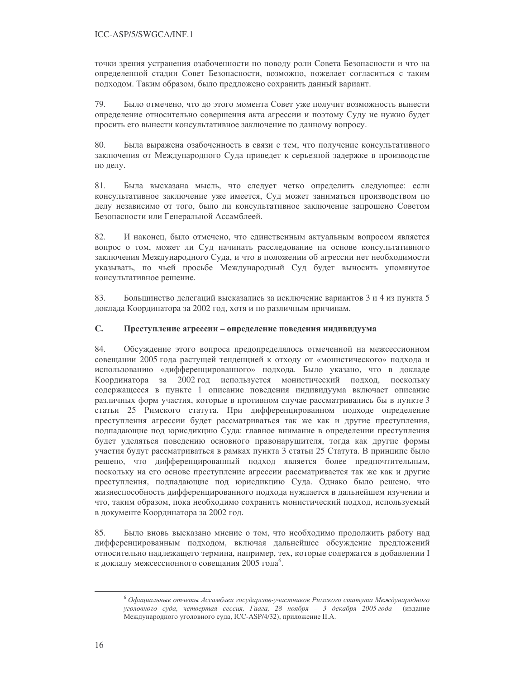точки зрения устранения озабоченности по поводу роли Совета Безопасности и что на определенной стадии Совет Безопасности, возможно, пожелает согласиться с таким подходом. Таким образом, было предложено сохранить данный вариант.

Было отмечено, что до этого момента Совет уже получит возможность вынести 79. определение относительно совершения акта агрессии и поэтому Суду не нужно будет просить его вынести консультативное заключение по данному вопросу.

80. Была выражена озабоченность в связи с тем, что получение консультативного заключения от Международного Суда приведет к серьезной задержке в производстве по делу.

81. Была высказана мысль, что следует четко определить следующее: если консультативное заключение уже имеется, Суд может заниматься производством по делу независимо от того, было ли консультативное заключение запрошено Советом Безопасности или Генеральной Ассамблеей.

82. И наконец, было отмечено, что единственным актуальным вопросом является вопрос о том, может ли Суд начинать расследование на основе консультативного заключения Международного Суда, и что в положении об агрессии нет необходимости указывать, по чьей просьбе Международный Суд будет выносить упомянутое консультативное решение.

83. Большинство делегаций высказались за исключение вариантов 3 и 4 из пункта 5 доклада Координатора за 2002 год, хотя и по различным причинам.

#### $\mathbf{C}$ . Преступление агрессии - определение поведения индивидуума

84. Обсуждение этого вопроса предопределялось отмеченной на межсессионном совещании 2005 года растущей тенденцией к отходу от «монистического» подхода и использованию «дифференцированного» подхода. Было указано, что в докладе Координатора за 2002 год используется монистический подход, ПОСКОЛЬКУ содержащееся в пункте 1 описание поведения индивидуума включает описание различных форм участия, которые в противном случае рассматривались бы в пункте 3 статьи 25 Римского статута. При дифференцированном подходе определение преступления агрессии будет рассматриваться так же как и другие преступления, подпадающие под юрисдикцию Суда: главное внимание в определении преступления будет уделяться поведению основного правонарушителя, тогда как другие формы участия будут рассматриваться в рамках пункта 3 статьи 25 Статута. В принципе было решено, что дифференцированный подход является более предпочтительным, поскольку на его основе преступление агрессии рассматривается так же как и другие преступления, подпадающие под юрисдикцию Суда. Однако было решено, что жизнеспособность дифференцированного подхода нуждается в дальнейшем изучении и что, таким образом, пока необходимо сохранить монистический подход, используемый в документе Координатора за 2002 год.

85. Было вновь высказано мнение о том, что необходимо продолжить работу над дифференцированным подходом, включая дальнейшее обсуждение предложений относительно надлежащего термина, например, тех, которые содержатся в добавлении I к докладу межсессионного совещания 2005 года<sup>6</sup>.

<sup>&</sup>lt;sup>6</sup> Официальные отчеты Ассамблеи государств-участников Римского статута Международного уголовного суда, четвертая сессия, Гаага, 28 ноября - 3 декабря 2005 года (издание Международного уголовного суда, ICC-ASP/4/32), приложение II.A.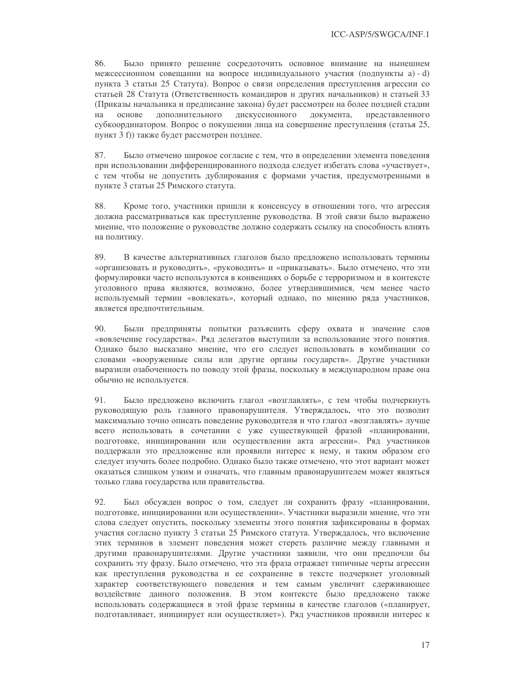86. Было принято решение сосредоточить основное внимание на нынешнем межсессионном совещании на вопросе индивидуального участия (подпункты a) - d) пункта 3 статьи 25 Статута). Вопрос о связи определения преступления агрессии со статьей 28 Статута (Ответственность командиров и других начальников) и статьей 33 (Приказы начальника и предписание закона) будет рассмотрен на более поздней стадии дискуссионного на основе дополнительного документа, представленного субкоординатором. Вопрос о покушении лица на совершение преступления (статья 25, пункт 3 f)) также будет рассмотрен позднее.

87. Было отмечено широкое согласие с тем, что в определении элемента поведения при использовании дифференцированного подхода следует избегать слова «участвует», с тем чтобы не допустить дублирования с формами участия, предусмотренными в пункте 3 статьи 25 Римского статута.

88. Кроме того, участники пришли к консенсусу в отношении того, что агрессия должна рассматриваться как преступление руководства. В этой связи было выражено мнение, что положение о руководстве должно содержать ссылку на способность влиять на политику.

89. В качестве альтернативных глаголов было предложено использовать термины «организовать и руководить», «руководить» и «приказывать». Было отмечено, что эти формулировки часто используются в конвенциях о борьбе с терроризмом и в контексте уголовного права являются, возможно, более утвердившимися, чем менее часто используемый термин «вовлекать», который однако, по мнению ряда участников, является предпочтительным.

Были предприняты попытки разъяснить сферу охвата и значение слов 90. «вовлечение государства». Ряд делегатов выступили за использование этого понятия. Однако было высказано мнение, что его следует использовать в комбинации со словами «вооруженные силы или другие органы государств». Другие участники выразили озабоченность по поводу этой фразы, поскольку в международном праве она обычно не используется.

91. Было предложено включить глагол «возглавлять», с тем чтобы подчеркнуть руководящую роль главного правонарушителя. Утверждалось, что это позволит максимально точно описать поведение руководителя и что глагол «возглавлять» лучше всего использовать в сочетании с уже существующей фразой «планировании, подготовке, инициировании или осуществлении акта агрессии». Ряд участников поддержали это предложение или проявили интерес к нему, и таким образом его следует изучить более подробно. Однако было также отмечено, что этот вариант может оказаться слишком узким и означать, что главным правонарушителем может являться только глава государства или правительства.

92. Был обсужден вопрос о том, следует ли сохранить фразу «планировании, подготовке, инициировании или осуществлении». Участники выразили мнение, что эти слова следует опустить, поскольку элементы этого понятия зафиксированы в формах участия согласно пункту 3 статьи 25 Римского статута. Утверждалось, что включение этих терминов в элемент поведения может стереть различие между главными и другими правонарушителями. Другие участники заявили, что они предпочли бы сохранить эту фразу. Было отмечено, что эта фраза отражает типичные черты агрессии как преступления руководства и ее сохранение в тексте подчеркнет уголовный характер соответствующего поведения и тем самым увеличит сдерживающее воздействие данного положения. В этом контексте было предложено также использовать содержащиеся в этой фразе термины в качестве глаголов («планирует, подготавливает, инициирует или осуществляет»). Ряд участников проявили интерес к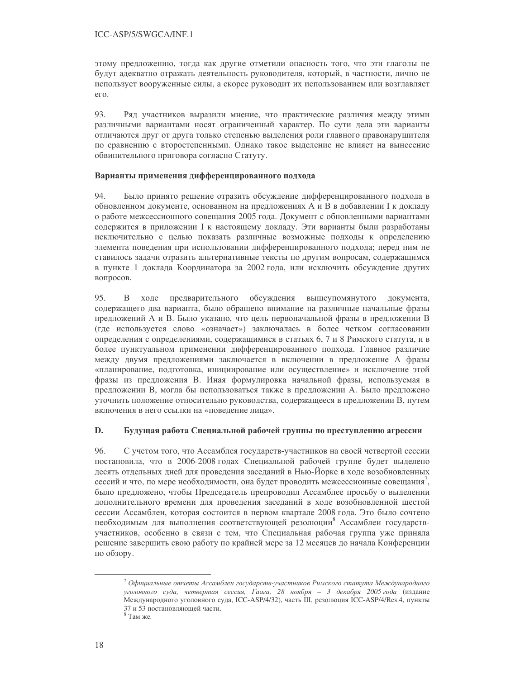этому предложению, тогда как другие отметили опасность того, что эти глаголы не будут адекватно отражать деятельность руководителя, который, в частности, лично не использует вооруженные силы, а скорее руководит их использованием или возглавляет eгo.

 $93$ Ряд участников выразили мнение, что практические различия между этими различными вариантами носят ограниченный характер. По сути дела эти варианты отличаются друг от друга только степенью выделения роли главного правонарушителя по сравнению с второстепенными. Однако такое выделение не влияет на вынесение обвинительного приговора согласно Статуту.

## Варианты применения дифференцированного подхода

94 Было принято решение отразить обсуждение дифференцированного подхода в обновленном документе, основанном на предложениях А и В в добавлении I к докладу о работе межсессионного совещания 2005 года. Документ с обновленными вариантами содержится в приложении I к настоящему докладу. Эти варианты были разработаны исключительно с целью показать различные возможные подходы к определению элемента поведения при использовании дифференцированного подхода; перед ним не ставилось задачи отразить альтернативные тексты по другим вопросам, содержащимся в пункте 1 доклада Координатора за 2002 года, или исключить обсуждение других вопросов.

 $\mathbf B$ 95. ходе предварительного обсуждения вышеупомянутого документа, содержащего два варианта, было обращено внимание на различные начальные фразы предложений А и В. Было указано, что цель первоначальной фразы в предложении В (где используется слово «означает») заключалась в более четком согласовании определения с определениями, содержащимися в статьях 6, 7 и 8 Римского статута, и в более пунктуальном применении дифференцированного подхода. Главное различие между двумя предложениями заключается в включении в предложение А фразы «планирование, подготовка, инициирование или осуществление» и исключение этой фразы из предложения В. Иная формулировка начальной фразы, используемая в предложении В, могла бы использоваться также в предложении А. Было предложено уточнить положение относительно руководства, содержащееся в предложении В, путем включения в него ссылки на «поведение лица».

#### D. Будущая работа Специальной рабочей группы по преступлению агрессии

96. С учетом того, что Ассамблея государств-участников на своей четвертой сессии постановила, что в 2006-2008 годах Специальной рабочей группе будет выделено десять отдельных дней для проведения заседаний в Нью-Йорке в ходе возобновленных сессий и что, по мере необходимости, она будет проводить межсессионные совещания', было предложено, чтобы Председатель препроводил Ассамблее просьбу о выделении дополнительного времени для проведения заседаний в ходе возобновленной шестой сессии Ассамблеи, которая состоится в первом квартале 2008 года. Это было сочтено необходимым для выполнения соответствующей резолюции<sup>8</sup> Ассамблеи государствучастников, особенно в связи с тем, что Специальная рабочая группа уже приняла решение завершить свою работу по крайней мере за 12 месяцев до начала Конференции по обзору.

 $\frac{7}{7}$ Официальные отчеты Ассамблеи государств-участников Римского статута Международного уголовного суда, четвертая сессия, Гаага, 28 ноября - 3 декабря 2005 года (издание Международного уголовного суда, ICC-ASP/4/32), часть III, резолюция ICC-ASP/4/Res.4, пункты 37 и 53 постановляющей части.

 $8$  Там же.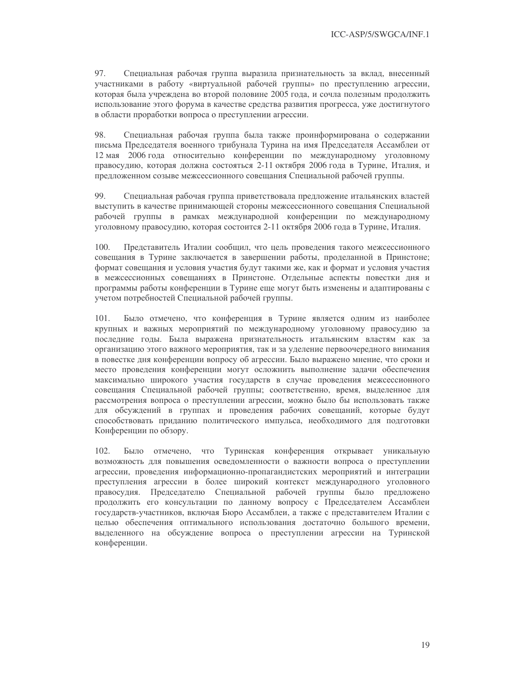97. Специальная рабочая группа выразила признательность за вклад, внесенный участниками в работу «виртуальной рабочей группы» по преступлению агрессии, которая была учреждена во второй половине 2005 года, и сочла полезным продолжить использование этого форума в качестве средства развития прогресса, уже достигнутого в области проработки вопроса о преступлении агрессии.

98. Специальная рабочая группа была также проинформирована о содержании письма Председателя военного трибунала Турина на имя Председателя Ассамблеи от 12 мая 2006 года относительно конференции по международному уголовному правосудию, которая должна состояться 2-11 октября 2006 года в Турине, Италия, и предложенном созыве межсессионного совещания Специальной рабочей группы.

99 Специальная рабочая группа приветствовала предложение итальянских властей выступить в качестве принимающей стороны межсессионного совещания Специальной рабочей группы в рамках международной конференции по международному уголовному правосудию, которая состоится 2-11 октября 2006 года в Турине, Италия.

 $100.$ Представитель Италии сообщил, что цель проведения такого межсессионного совещания в Турине заключается в завершении работы, проделанной в Принстоне; формат совещания и условия участия будут такими же, как и формат и условия участия в межсессионных совещаниях в Принстоне. Отдельные аспекты повестки дня и программы работы конференции в Турине еще могут быть изменены и адаптированы с учетом потребностей Специальной рабочей группы.

Было отмечено, что конференция в Турине является одним из наиболее 101. крупных и важных мероприятий по международному уголовному правосудию за последние годы. Была выражена признательность итальянским властям как за организацию этого важного мероприятия, так и за уделение первоочередного внимания в повестке дня конференции вопросу об агрессии. Было выражено мнение, что сроки и место проведения конференции могут осложнить выполнение задачи обеспечения максимально широкого участия государств в случае проведения межсессионного совещания Специальной рабочей группы; соответственно, время, выделенное для рассмотрения вопроса о преступлении агрессии, можно было бы использовать также для обсуждений в группах и проведения рабочих совещаний, которые будут способствовать приданию политического импульса, необходимого для подготовки Конференции по обзору.

 $102.$ Было отмечено, что Туринская конференция открывает уникальную возможность для повышения осведомленности о важности вопроса о преступлении агрессии, проведения информационно-пропагандистских мероприятий и интеграции преступления агрессии в более широкий контекст международного уголовного правосудия. Председателю Специальной рабочей группы было предложено продолжить его консультации по данному вопросу с Председателем Ассамблеи государств-участников, включая Бюро Ассамблеи, а также с представителем Италии с целью обеспечения оптимального использования достаточно большого времени, выделенного на обсуждение вопроса о преступлении агрессии на Туринской конференции.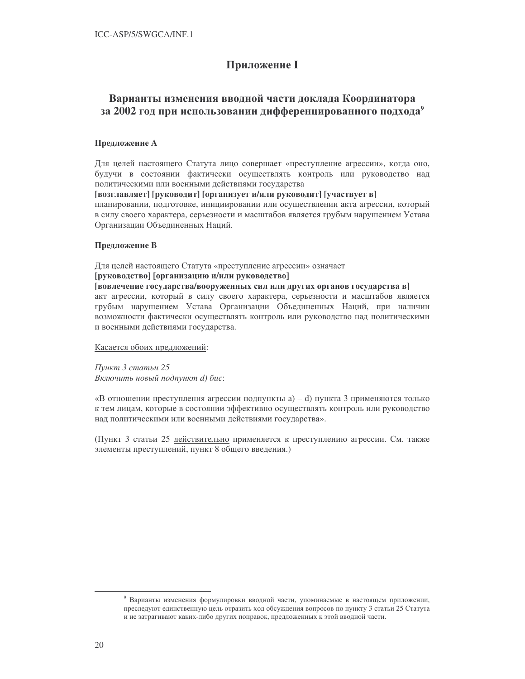# **Приложение I**

# Варианты изменения вводной части доклада Координатора за 2002 год при использовании дифференцированного подхода<sup>9</sup>

## Предложение А

Для целей настоящего Статута лицо совершает «преступление агрессии», когда оно, будучи в состоянии фактически осуществлять контроль или руководство над политическими или военными действиями государства

[возглавляет] [руководит] [организует и/или руководит] [участвует в]

планировании, подготовке, инициировании или осуществлении акта агрессии, который в силу своего характера, серьезности и масштабов является грубым нарушением Устава Организации Объединенных Наций.

## Предложение В

Для целей настоящего Статута «преступление агрессии» означает [руководство] [организацию и/или руководство]

## [вовлечение государства/вооруженных сил или других органов государства в]

акт агрессии, который в силу своего характера, серьезности и масштабов является грубым нарушением Устава Организации Объединенных Наций, при наличии возможности фактически осуществлять контроль или руководство над политическими и военными действиями государства.

Касается обоих предложений:

Пункт 3 статьи 25 Включить новый подпункт d) бис:

«В отношении преступления агрессии подпункты  $a$ ) – d) пункта 3 применяются только к тем лицам, которые в состоянии эффективно осуществлять контроль или руководство над политическими или военными действиями государства».

(Пункт 3 статьи 25 действительно применяется к преступлению агрессии. См. также элементы преступлений, пункт 8 общего введения.)

<sup>&</sup>lt;sup>9</sup> Варианты изменения формулировки вводной части, упоминаемые в настоящем приложении, преследуют единственную цель отразить ход обсуждения вопросов по пункту 3 статьи 25 Статута и не затрагивают каких-либо других поправок, предложенных к этой вводной части.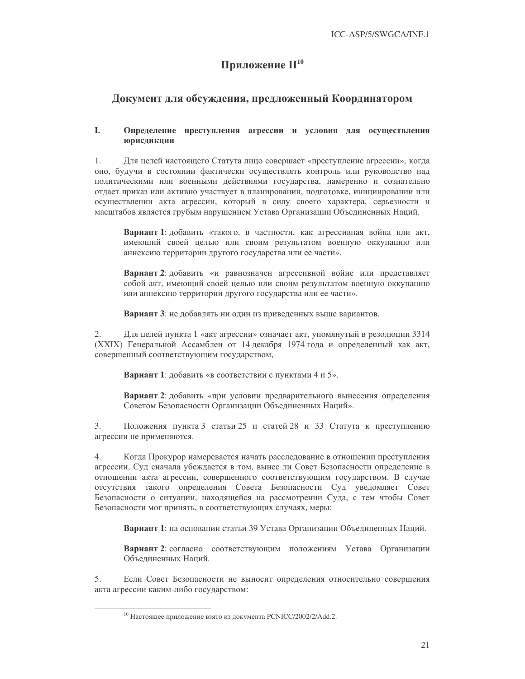# Приложение  $\mathbf{H}^{10}$

# Документ для обсуждения, предложенный Координатором

### L Определение преступления агрессии и условия для осуществления юрисдикции

Для целей настоящего Статута лицо совершает «преступление агрессии», когда 1. оно, будучи в состоянии фактически осуществлять контроль или руководство над политическими или военными действиями государства, намеренно и сознательно отдает приказ или активно участвует в планировании, подготовке, инициировании или осуществлении акта агрессии, который в силу своего характера, серьезности и масштабов является грубым нарушением Устава Организации Объединенных Наций.

Вариант 1: добавить «такого, в частности, как агрессивная война или акт, имеющий своей целью или своим результатом военную оккупацию или аннексию территории другого государства или ее части».

Вариант 2: добавить «и равнозначен агрессивной войне или представляет собой акт, имеющий своей целью или своим результатом военную оккупацию или аннексию территории другого государства или ее части».

Вариант 3: не добавлять ни один из приведенных выше вариантов.

 $\overline{2}$ . Для целей пункта 1 «акт агрессии» означает акт, упомянутый в резолюции 3314 (XXIX) Генеральной Ассамблеи от 14 декабря 1974 года и определенный как акт, совершенный соответствующим государством,

Вариант 1: добавить «в соответствии с пунктами 4 и 5».

Вариант 2: добавить «при условии предварительного вынесения определения Советом Безопасности Организации Объединенных Наций».

Положения пункта 3 статьи 25 и статей 28 и 33 Статута к преступлению 3. агрессии не применяются.

 $4.$ Когда Прокурор намеревается начать расследование в отношении преступления агрессии, Суд сначала убеждается в том, вынес ли Совет Безопасности определение в отношении акта агрессии, совершенного соответствующим государством. В случае отсутствия такого определения Совета Безопасности Суд уведомляет Совет Безопасности о ситуации, находящейся на рассмотрении Суда, с тем чтобы Совет Безопасности мог принять, в соответствующих случаях, меры:

Вариант 1: на основании статьи 39 Устава Организации Объединенных Наций.

Вариант 2: согласно соответствующим положениям Устава Организации Объелиненных Напий.

 $5<sub>1</sub>$ Если Совет Безопасности не выносит определения относительно совершения акта агрессии каким-либо государством:

<sup>&</sup>lt;sup>10</sup> Настоящее приложение взято из документа PCNICC/2002/2/Add.2.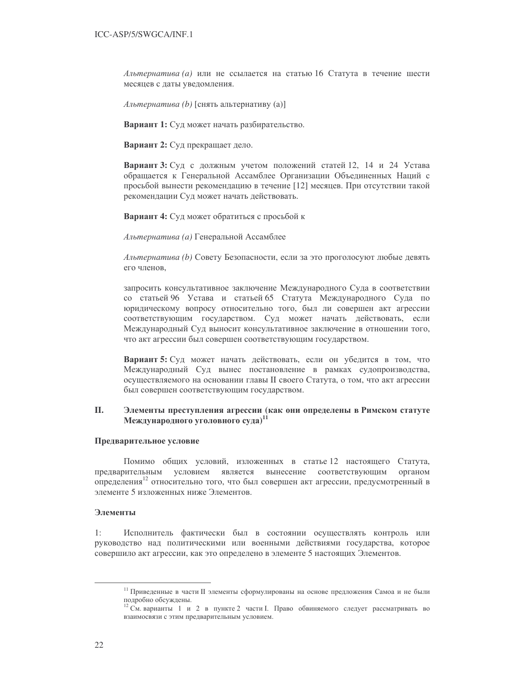Альтернатива (а) или не ссылается на статью 16 Статута в течение шести месяцев с даты уведомления.

Альтернатива (b) [снять альтернативу (a)]

Вариант 1: Суд может начать разбирательство.

Вариант 2: Суд прекращает дело.

Вариант 3: Суд с должным учетом положений статей 12, 14 и 24 Устава обращается к Генеральной Ассамблее Организации Объединенных Наций с просьбой вынести рекомендацию в течение [12] месяцев. При отсутствии такой рекомендации Суд может начать действовать.

Вариант 4: Суд может обратиться с просьбой к

Альтернатива (а) Генеральной Ассамблее

Альтернатива (b) Совету Безопасности, если за это проголосуют любые девять его членов.

запросить консультативное заключение Международного Суда в соответствии со статьей 96 Устава и статьей 65 Статута Международного Суда по юридическому вопросу относительно того, был ли совершен акт агрессии соответствующим государством. Суд может начать действовать, если Международный Суд выносит консультативное заключение в отношении того, что акт агрессии был совершен соответствующим государством.

Вариант 5: Суд может начать действовать, если он убедится в том, что Международный Суд вынес постановление в рамках судопроизводства, осуществляемого на основании главы II своего Статута, о том, что акт агрессии был совершен соответствующим государством.

### Π. Элементы преступления агрессии (как они определены в Римском статуте Международного уголовного суда)<sup>11</sup>

## Предварительное условие

Помимо общих условий, изложенных в статье 12 настоящего Статута, предварительным условием является вынесение соответствующим органом определения<sup>12</sup> относительно того, что был совершен акт агрессии, предусмотренный в элементе 5 изложенных ниже Элементов.

## Элементы

 $1:$ Исполнитель фактически был в состоянии осуществлять контроль или руководство над политическими или военными действиями государства, которое совершило акт агрессии, как это определено в элементе 5 настоящих Элементов.

<sup>&</sup>lt;sup>11</sup> Приведенные в части II элементы сформулированы на основе предложения Самоа и не были подробно обсуждены.

<sup>&</sup>lt;sup>12</sup> См. варианты 1 и 2 в пункте 2 части I. Право обвиняемого следует рассматривать во взаимосвязи с этим предварительным условием.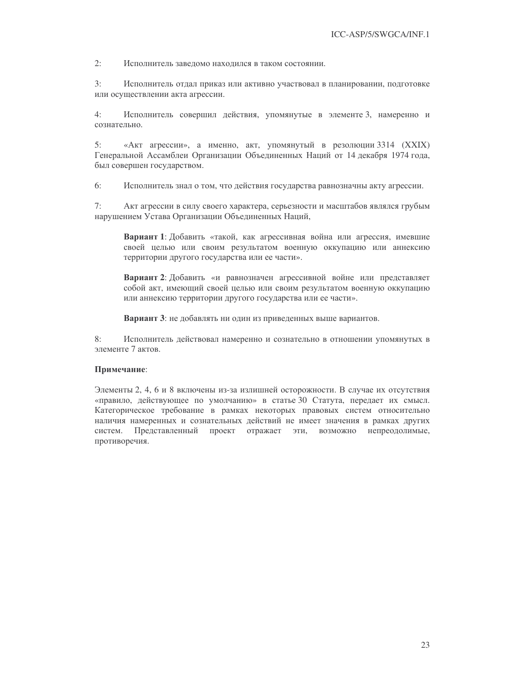$2:$ Исполнитель завеломо находился в таком состоянии.

 $3:$ Исполнитель отдал приказ или активно участвовал в планировании, подготовке или осуществлении акта агрессии.

 $4:$ Исполнитель совершил действия, упомянутые в элементе 3, намеренно и сознательно.

 $5:$ «Акт агрессии», а именно, акт, упомянутый в резолюции 3314 (XXIX) Генеральной Ассамблеи Организации Объединенных Наций от 14 декабря 1974 года, был совершен государством.

 $6:$ Исполнитель знал о том, что действия государства равнозначны акту агрессии.

 $7:$ Акт агрессии в силу своего характера, серьезности и масштабов являлся грубым нарушением Устава Организации Объединенных Наций,

**Вариант 1**: Добавить «такой, как агрессивная война или агрессия, имевшие своей целью или своим результатом военную оккупацию или аннексию территории другого государства или ее части».

Вариант 2: Добавить «и равнозначен агрессивной войне или представляет собой акт, имеющий своей целью или своим результатом военную оккупацию или аннексию территории другого государства или ее части».

Вариант 3: не добавлять ни один из приведенных выше вариантов.

8: Исполнитель действовал намеренно и сознательно в отношении упомянутых в элементе 7 актов.

## Примечание:

Элементы 2, 4, 6 и 8 включены из-за излишней осторожности. В случае их отсутствия «правило, действующее по умолчанию» в статье 30 Статута, передает их смысл. Категорическое требование в рамках некоторых правовых систем относительно наличия намеренных и сознательных действий не имеет значения в рамках других систем. Представленный проект отражает эти, возможно непреодолимые, противоречия.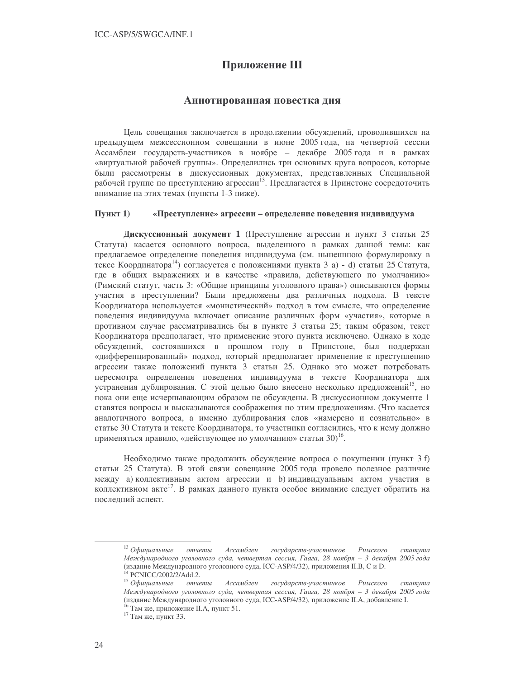# Приложение III

## Аннотированная повестка дня

Цель совещания заключается в продолжении обсуждений, проводившихся на предыдущем межсессионном совещании в июне 2005 года, на четвертой сессии Ассамблеи государств-участников в ноябре - декабре 2005 года и в рамках «виртуальной рабочей группы». Определились три основных круга вопросов, которые были рассмотрены в дискуссионных документах, представленных Специальной рабочей группе по преступлению агрессии<sup>13</sup>. Предлагается в Принстоне сосредоточить внимание на этих темах (пункты 1-3 ниже).

#### $\Pi$ ункт $1$ ) «Преступление» агрессии - определение поведения индивидуума

Дискуссионный документ 1 (Преступление агрессии и пункт 3 статьи 25 Статута) касается основного вопроса, выделенного в рамках данной темы: как предлагаемое определение поведения индивидуума (см. нынешнюю формулировку в тексе Координатора<sup>14</sup>) согласуется с положениями пункта 3 а) - d) статьи 25 Статута, где в общих выражениях и в качестве «правила, действующего по умолчанию» (Римский статут, часть 3: «Общие принципы уголовного права») описываются формы участия в преступлении? Были предложены два различных подхода. В тексте Координатора используется «монистический» подход в том смысле, что определение поведения индивидуума включает описание различных форм «участия», которые в противном случае рассматривались бы в пункте 3 статьи 25; таким образом, текст Координатора предполагает, что применение этого пункта исключено. Однако в ходе обсуждений, состоявшихся в прошлом году в Принстоне, был поддержан «дифференцированный» подход, который предполагает применение к преступлению агрессии также положений пункта 3 статьи 25. Однако это может потребовать пересмотра определения поведения индивидуума в тексте Координатора для устранения дублирования. С этой целью было внесено несколько предложений<sup>15</sup>, но пока они еще исчерпывающим образом не обсуждены. В дискуссионном документе 1 ставятся вопросы и высказываются соображения по этим предложениям. (Что касается аналогичного вопроса, а именно дублирования слов «намерено и сознательно» в статье 30 Статута и тексте Координатора, то участники согласились, что к нему должно применяться правило, «действующее по умолчанию» статьи 30)<sup>16</sup>.

Необходимо также продолжить обсуждение вопроса о покушении (пункт 3 f) статьи 25 Статута). В этой связи совещание 2005 года провело полезное различие между а) коллективным актом агрессии и b) индивидуальным актом участия в коллективном акте<sup>17</sup>. В рамках данного пункта особое внимание следует обратить на послелний аспект.

<sup>&</sup>lt;sup>13</sup> Официальные отчеты Ассамблеи государств-участников Римского  $c$ mamyma Международного уголовного суда, четвертая сессия, Гаага, 28 ноября - 3 декабря 2005 года (издание Международного уголовного суда, ICC-ASP/4/32), приложения II.B, С и D. <sup>14</sup> PCNICC/2002/2/Add.2.

 $15$  Официальные отчеты Ассамблеи государств-участников Римского cmamyma Международного уголовного суда, четвертая сессия, Гаага, 28 ноября – 3 декабря 2005 года (издание Международного уголовного суда, ICC-ASP/4/32), приложение II.А, добавление I. <sup>16</sup> Там же, приложение II.А, пункт 51.

<sup>&</sup>lt;sup>17</sup> Там же, пункт 33.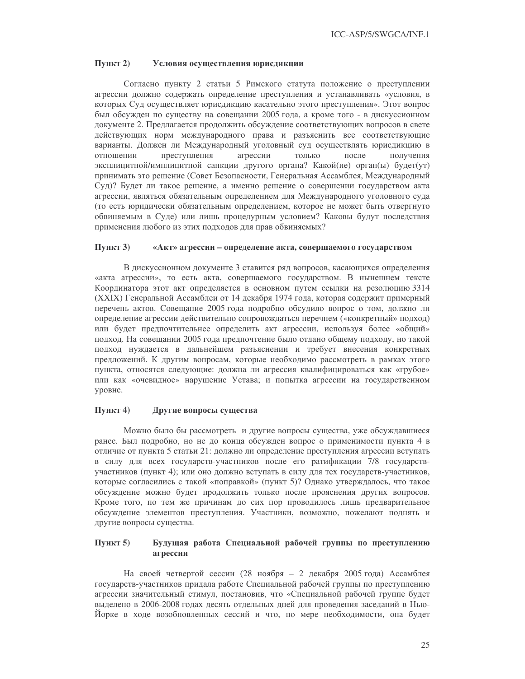#### $\Pi$ ункт 2) Условия осуществления юрисдикции

Согласно пункту 2 статьи 5 Римского статута положение о преступлении агрессии должно содержать определение преступления и устанавливать «условия, в которых Суд осуществляет юрисдикцию касательно этого преступления». Этот вопрос был обсужден по существу на совещании 2005 года, а кроме того - в дискуссионном документе 2. Предлагается продолжить обсуждение соответствующих вопросов в свете действующих норм международного права и разъяснить все соответствующие варианты. Должен ли Международный уголовный суд осуществлять юрисдикцию в отношении только преступления агрессии после получения эксплицитной/имплицитной санкции другого органа? Какой(ие) орган(ы) будет(ут) принимать это решение (Совет Безопасности, Генеральная Ассамблея, Международный Суд)? Будет ли такое решение, а именно решение о совершении государством акта агрессии, являться обязательным определением для Международного уголовного суда (то есть юридически обязательным определением, которое не может быть отвергнуто обвиняемым в Суде) или лишь процедурным условием? Каковы будут последствия применения любого из этих подходов для прав обвиняемых?

#### Пункт 3) «Акт» агрессии - определение акта, совершаемого государством

В дискуссионном документе 3 ставится ряд вопросов, касающихся определения «акта агрессии», то есть акта, совершаемого государством. В нынешнем тексте Координатора этот акт определяется в основном путем ссылки на резолюцию 3314 (XXIX) Генеральной Ассамблеи от 14 декабря 1974 года, которая содержит примерный перечень актов. Совещание 2005 года подробно обсудило вопрос о том, должно ли определение агрессии действительно сопровождаться перечнем («конкретный» подход) или будет предпочтительнее определить акт агрессии, используя более «общий» подход. На совещании 2005 года предпочтение было отдано общему подходу, но такой подход нуждается в дальнейшем разъяснении и требует внесения конкретных предложений. К другим вопросам, которые необходимо рассмотреть в рамках этого пункта, относятся следующие: должна ли агрессия квалифицироваться как «грубое» или как «очевидное» нарушение Устава; и попытка агрессии на государственном уровне.

#### Пункт 4) Другие вопросы существа

Можно было бы рассмотреть и другие вопросы существа, уже обсуждавшиеся ранее. Был подробно, но не до конца обсужден вопрос о применимости пункта 4 в отличие от пункта 5 статьи 21: должно ли определение преступления агрессии вступать в силу для всех государств-участников после его ратификации 7/8 государствучастников (пункт 4); или оно должно вступать в силу для тех государств-участников, которые согласились с такой «поправкой» (пункт 5)? Однако утверждалось, что такое обсуждение можно будет продолжить только после прояснения других вопросов. Кроме того, по тем же причинам до сих пор проводилось лишь предварительное обсуждение элементов преступления. Участники, возможно, пожелают поднять и другие вопросы существа.

### $\Pi$ ункт 5) Будущая работа Специальной рабочей группы по преступлению агрессии

На своей четвертой сессии (28 ноября - 2 декабря 2005 года) Ассамблея государств-участников придала работе Специальной рабочей группы по преступлению агрессии значительный стимул, постановив, что «Специальной рабочей группе будет выделено в 2006-2008 годах десять отдельных дней для проведения заседаний в Нью-Йорке в ходе возобновленных сессий и что, по мере необходимости, она будет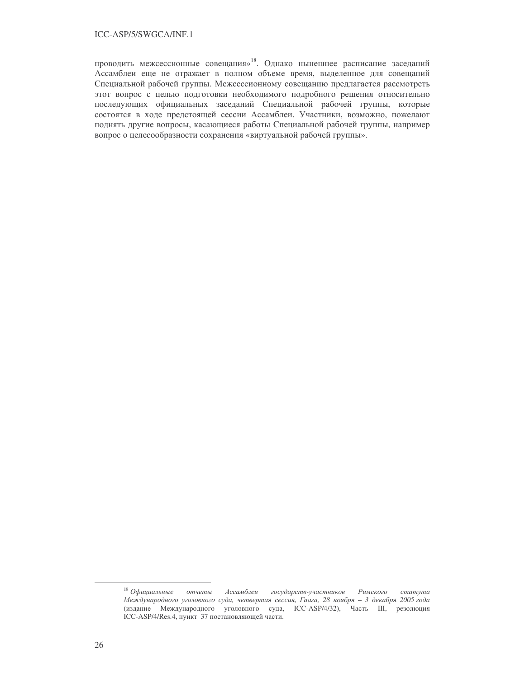проводить межсессионные совещания»<sup>18</sup>. Однако нынешнее расписание заседаний Ассамблеи еще не отражает в полном объеме время, выделенное для совещаний Специальной рабочей группы. Межсессионному совещанию предлагается рассмотреть этот вопрос с целью подготовки необходимого подробного решения относительно последующих официальных заседаний Специальной рабочей группы, которые состоятся в ходе предстоящей сессии Ассамблеи. Участники, возможно, пожелают поднять другие вопросы, касающиеся работы Специальной рабочей группы, например вопрос о целесообразности сохранения «виртуальной рабочей группы».

 $18$  Официальные отчеты Ассамблеи государств-участников Римского cmamyma Международного уголовного суда, четвертая сессия, Гаага, 28 ноября - 3 декабря 2005 года (издание Международного уголовного суда, ICC-ASP/4/32), Часть III, резолюция ICC-ASP/4/Res.4, пункт 37 постановляющей части.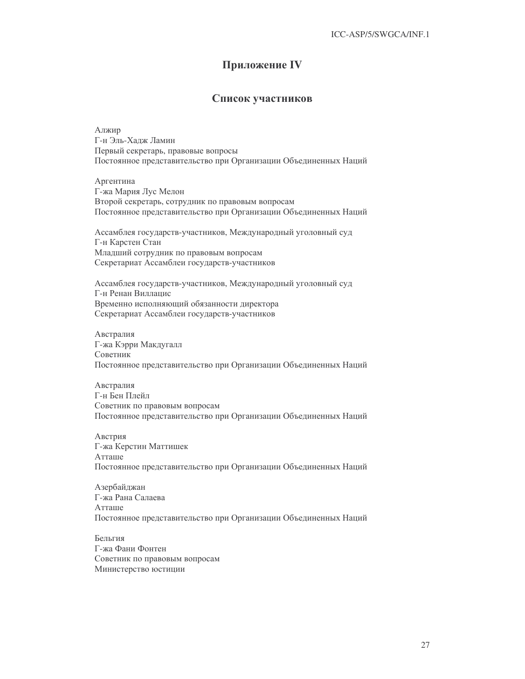# Приложение IV

## Список участников

Алжир Г-н Эль-Хадж Ламин Первый секретарь, правовые вопросы Постоянное представительство при Организации Объединенных Наций

Аргентина Г-жа Мария Лус Мелон Второй секретарь, сотрудник по правовым вопросам Постоянное представительство при Организации Объединенных Наций

Ассамблея государств-участников, Международный уголовный суд Г-н Карстен Стан Младший сотрудник по правовым вопросам Секретариат Ассамблеи государств-участников

Ассамблея государств-участников, Международный уголовный суд Г-н Ренан Виллацис Временно исполняющий обязанности директора Секретариат Ассамблеи государств-участников

Австралия Г-жа Кэрри Макдугалл Советник Постоянное представительство при Организации Объединенных Наций

Австралия Г-н Бен Плейл Советник по правовым вопросам Постоянное представительство при Организации Объединенных Наций

Австрия Г-жа Керстин Маттишек Атташе Постоянное представительство при Организации Объединенных Наций

Азербайджан Г-жа Рана Салаева Атташе Постоянное представительство при Организации Объединенных Наций

Бельгия Г-жа Фани Фонтен Советник по правовым вопросам Министерство юстиции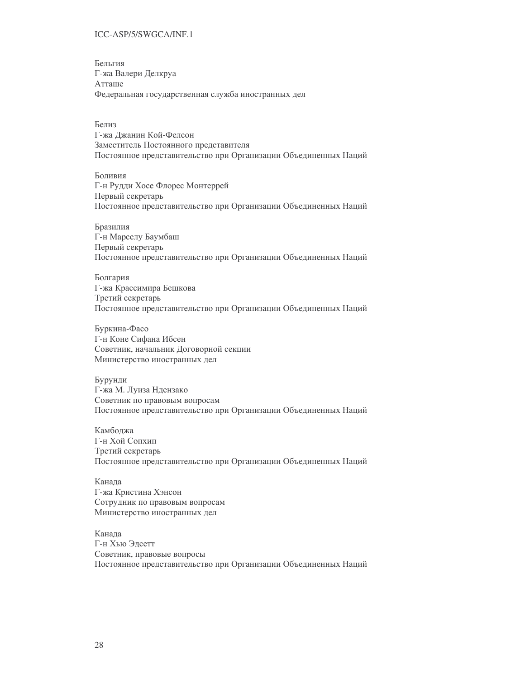Бельгия Г-жа Валери Делкруа Атташе Федеральная государственная служба иностранных дел

Белиз Г-жа Джанин Кой-Фелсон Заместитель Постоянного представителя Постоянное представительство при Организации Объединенных Наций

Боливия Г-н Рудди Хосе Флорес Монтеррей Первый секретарь Постоянное представительство при Организации Объединенных Наций

Бразилия Г-н Марселу Баумбаш Первый секретарь Постоянное представительство при Организации Объединенных Наций

Болгария Г-жа Крассимира Бешкова Третий секретарь Постоянное представительство при Организации Объединенных Наций

Буркина-Фасо Г-н Коне Сифана Ибсен Советник, начальник Договорной секции Министерство иностранных дел

Бурунди Г-жа М. Луиза Ндензако Советник по правовым вопросам Постоянное представительство при Организации Объединенных Наций

Камболжа Г-н Хой Сопхип Третий секретарь Постоянное представительство при Организации Объединенных Наций

Канада Г-жа Кристина Хэнсон Сотрудник по правовым вопросам Министерство иностранных дел

Канала Г-н Хью Элсетт Советник, правовые вопросы Постоянное представительство при Организации Объединенных Наций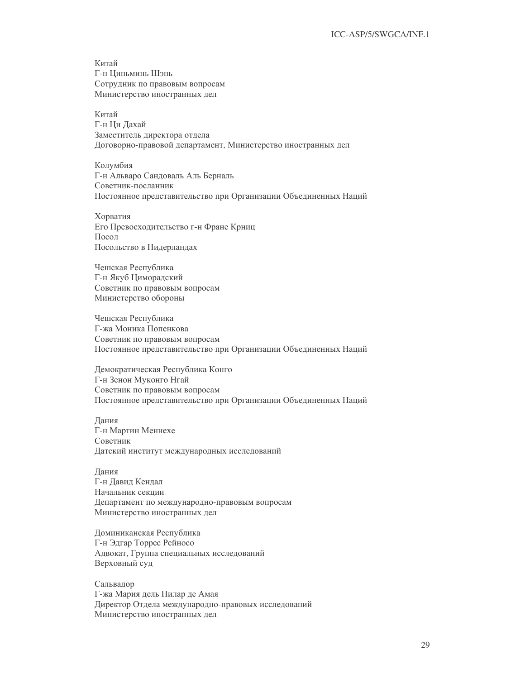Китай Г-н Циньминь Шэнь Сотрудник по правовым вопросам Министерство иностранных дел

Китай Г-н Ни Лахай Заместитель директора отдела Договорно-правовой департамент, Министерство иностранных дел

Колумбия Г-н Альваро Сандоваль Аль Берналь Советник-посланник Постоянное представительство при Организации Объединенных Наций

Хорватия Его Превосходительство г-н Фране Крниц Посол Посольство в Нидерландах

Чешская Республика Г-н Якуб Циморадский Советник по правовым вопросам Министерство обороны

Чешская Республика Г-жа Моника Попенкова Советник по правовым вопросам Постоянное представительство при Организации Объединенных Наций

Демократическая Республика Конго Г-н Зенон Муконго Нгай Советник по правовым вопросам Постоянное представительство при Организации Объединенных Наций

Дания Г-н Мартин Меннехе Советник Датский институт международных исследований

Дания Г-н Давид Кендал Начальник секции Департамент по международно-правовым вопросам Министерство иностранных дел

Доминиканская Республика Г-н Эдгар Торрес Рейносо Адвокат, Группа специальных исследований Верховный суд

Сальвадор Г-жа Мария дель Пилар де Амая Директор Отдела международно-правовых исследований Министерство иностранных дел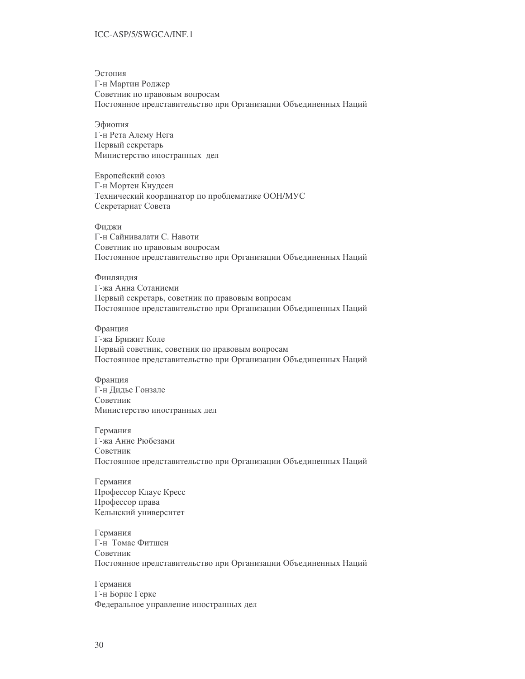Эстония Г-н Мартин Роджер Советник по правовым вопросам Постоянное представительство при Организации Объединенных Наций

Эфиопия Г-н Рета Алему Нега Первый секретарь Министерство иностранных дел

Европейский союз Г-н Мортен Кнудсен Технический координатор по проблематике ООН/МУС Секретариат Совета

Филжи Г-н Сайнивалати С. Навоти Советник по правовым вопросам Постоянное представительство при Организации Объединенных Наций

Финлянлия Г-жа Анна Сотаниеми Первый секретарь, советник по правовым вопросам Постоянное представительство при Организации Объединенных Наций

Франция Г-жа Брижит Коле Первый советник, советник по правовым вопросам Постоянное представительство при Организации Объединенных Наций

Франция Г-н Дидье Гонзале Советник Министерство иностранных дел

Германия Г-жа Анне Рюбезами Советник Постоянное представительство при Организации Объединенных Наций

Германия Профессор Клаус Кресс Профессор права Кельнский университет

Германия Г-н Томас Фитшен Советник Постоянное представительство при Организации Объединенных Наций

Германия Г-н Борис Герке Федеральное управление иностранных дел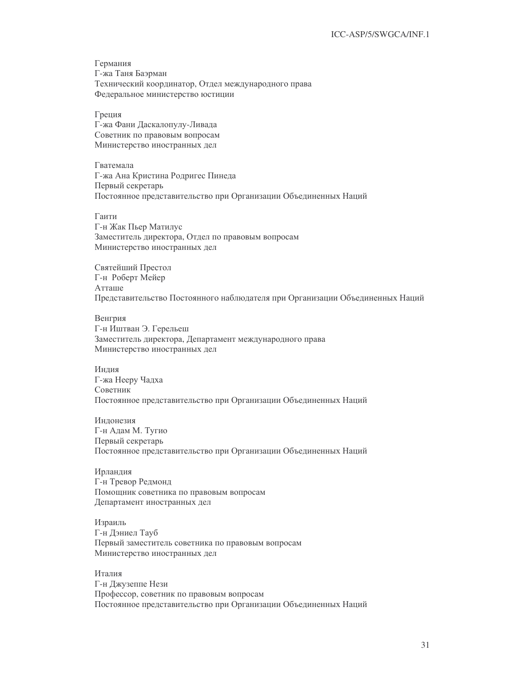Германия Г-жа Таня Баэрман Технический координатор, Отдел международного права Федеральное министерство юстиции

Греция Г-жа Фани Даскалопулу-Ливада Советник по правовым вопросам Министерство иностранных дел

Гватемала Г-жа Ана Кристина Родригес Пинеда Первый секретарь Постоянное представительство при Организации Объединенных Наций

Гаити Г-н Жак Пьер Матилус Заместитель директора, Отдел по правовым вопросам Министерство иностранных дел

Святейший Престол Г-н Роберт Мейер Атташе Представительство Постоянного наблюдателя при Организации Объединенных Наций

Венгрия Г-н Иштван Э. Герельеш Заместитель директора, Департамент международного права Министерство иностранных дел

Индия Г-жа Нееру Чадха Советник Постоянное представительство при Организации Объединенных Наций

Индонезия Г-н Адам М. Тугио Первый секретарь Постоянное представительство при Организации Объединенных Наций

Ирландия Г-н Тревор Редмонд Помощник советника по правовым вопросам Департамент иностранных дел

Израиль Г-н Дэниел Тауб Первый заместитель советника по правовым вопросам Министерство иностранных дел

Италия Г-н Джузеппе Нези Профессор, советник по правовым вопросам Постоянное представительство при Организации Объединенных Наций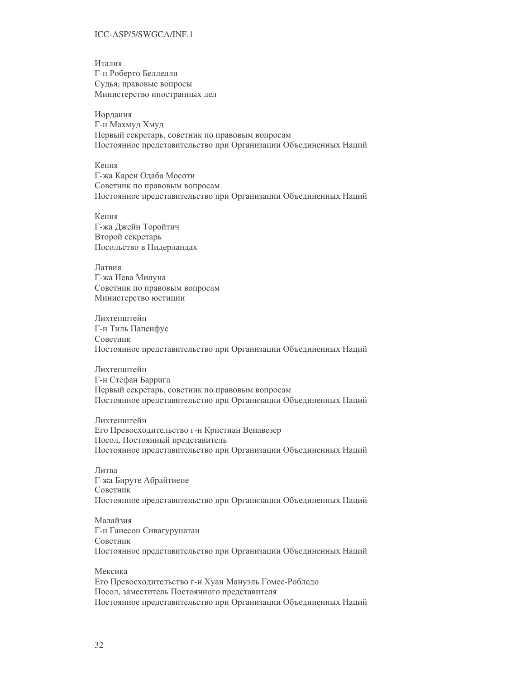Итапия Г-н Роберто Беллелли Судья, правовые вопросы Министерство иностранных дел

Иордания Г-н Махмуд Хмуд Первый секретарь, советник по правовым вопросам Постоянное представительство при Организации Объединенных Наций

Кения Г-жа Карен Одаба Мосоти Советник по правовым вопросам Постоянное представительство при Организации Объединенных Наций

Кения Г-жа Джейн Торойтич Второй секретарь Посольство в Нидерландах

Латвия Г-жа Иева Милуна Советник по правовым вопросам Министерство юстиции

Лихтенштейн Г-н Тиль Папенфус Советник Постоянное представительство при Организации Объединенных Наций

Лихтенштейн Г-н Стефан Баррига Первый секретарь, советник по правовым вопросам Постоянное представительство при Организации Объединенных Наций

Лихтенштейн Его Превосходительство г-н Кристиан Венавезер Посол, Постоянный представитель Постоянное представительство при Организации Объединенных Наций

Литва Г-жа Бируте Абрайтиене Советник Постоянное представительство при Организации Объединенных Наций

Малайзия Г-н Ганесон Сивагурунатан Советник Постоянное представительство при Организации Объединенных Наций

Мексика Его Превосходительство г-н Хуан Мануэль Гомес-Робледо Посол, заместитель Постоянного представителя Постоянное представительство при Организации Объединенных Наций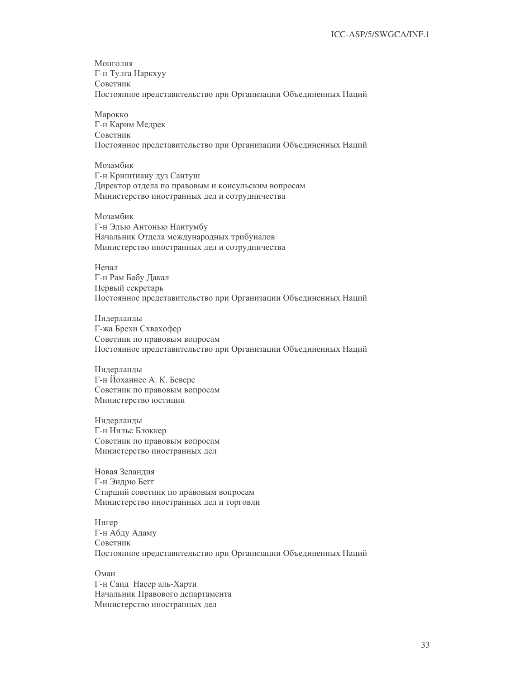Монголия Г-н Тулга Наркхуу Советник Постоянное представительство при Организации Объединенных Наций

Марокко Г-н Карим Медрек Советник Постоянное представительство при Организации Объединенных Наций

Мозамбик Г-н Криштиану дуз Сантуш Директор отдела по правовым и консульским вопросам Министерство иностранных дел и сотрудничества

Мозамбик Г-н Элью Антонью Нантумбу Начальник Отдела международных трибуналов Министерство иностранных дел и сотрудничества

Непал Г-н Рам Бабу Дакал Первый секретарь Постоянное представительство при Организации Объединенных Наций

Нидерланды Г-жа Брехи Схвахофер Советник по правовым вопросам Постоянное представительство при Организации Объединенных Наций

Нидерланды Г-н Йоханнес А. К. Беверс Советник по правовым вопросам Министерство юстиции

Нидерланды Г-н Нильс Блоккер Советник по правовым вопросам Министерство иностранных дел

Новая Зеландия Г-н Эндрю Бегг Старший советник по правовым вопросам Министерство иностранных дел и торговли

Нигер Г-н Абду Адаму Советник Постоянное представительство при Организации Объединенных Наций

Оман Г-н Саид Насер аль-Харти Начальник Правового департамента Министерство иностранных дел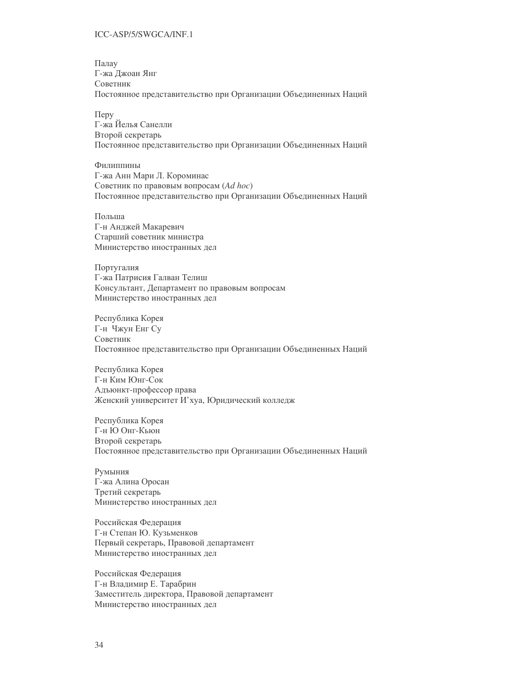Палау Г-жа Джоан Янг Советник Постоянное представительство при Организации Объединенных Наций

 $\Pi$ epy Г-жа Йелья Санелли Второй секретарь Постоянное представительство при Организации Объединенных Наций

Филиппины Г-жа Анн Мари Л. Короминас Советник по правовым вопросам (Ad hoc) Постоянное представительство при Организации Объединенных Наций

Польша Г-н Анджей Макаревич Старший советник министра Министерство иностранных дел

Португалия Г-жа Патрисия Галван Телиш Консультант, Департамент по правовым вопросам Министерство иностранных дел

Республика Корея Г-н Чжун Енг Су Советник Постоянное представительство при Организации Объединенных Наций

Республика Корея Г-н Ким Юнг-Сок Адъюнкт-профессор права Женский университет И'хуа, Юридический колледж

Республика Корея Г-н Ю Онг-Кьюн Второй секретарь Постоянное представительство при Организации Объединенных Наций

Румыния Г-жа Алина Оросан Третий секретарь Министерство иностранных дел

Российская Федерация Г-н Степан Ю. Кузьменков Первый секретарь, Правовой департамент Министерство иностранных дел

Российская Федерация Г-н Владимир Е. Тарабрин Заместитель директора, Правовой департамент Министерство иностранных дел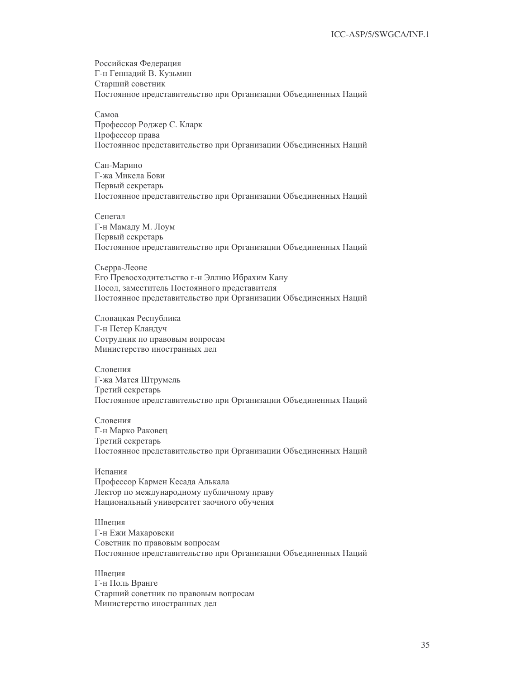Российская Федерация Г-н Геннадий В. Кузьмин Старший советник Постоянное представительство при Организации Объединенных Наций

Самоа Профессор Роджер С. Кларк Профессор права Постоянное представительство при Организации Объединенных Наций

Сан-Марино Г-жа Микела Бови Первый секретарь Постоянное представительство при Организации Объединенных Наций

Сенегал Г-н Мамаду М. Лоум Первый секретарь Постоянное представительство при Организации Объединенных Наций

Сьерра-Леоне Его Превосходительство г-н Эллию Ибрахим Кану Посол, заместитель Постоянного представителя Постоянное представительство при Организации Объединенных Наций

Словацкая Республика Г-н Петер Кландуч Сотрудник по правовым вопросам Министерство иностранных дел

Словения Г-жа Матея Штрумель Третий секретарь Постоянное представительство при Организации Объединенных Наций

Словения Г-н Марко Раковен Третий секретарь Постоянное представительство при Организации Объединенных Наций

Испания Профессор Кармен Кесада Алькала Лектор по международному публичному праву Национальный университет заочного обучения

Швеция Г-н Ежи Макаровски Советник по правовым вопросам Постоянное представительство при Организации Объединенных Наций

Швения Г-н Поль Вранге Старший советник по правовым вопросам Министерство иностранных дел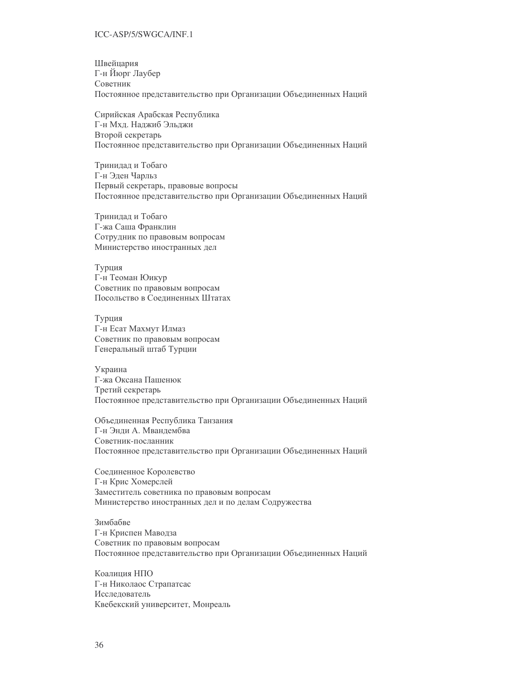Швейцария Г-н Йюрг Лаубер Советник Постоянное представительство при Организации Объединенных Наций

Сирийская Арабская Республика Г-н Мхл. Налжиб Эльлжи Второй секретарь Постоянное представительство при Организации Объединенных Наций

Тринидад и Тобаго Г-н Эден Чарльз Первый секретарь, правовые вопросы Постоянное представительство при Организации Объединенных Наций

Тринидад и Тобаго Г-жа Саша Франклин Сотрудник по правовым вопросам Министерство иностранных дел

Турция Г-н Теоман Юикур Советник по правовым вопросам Посольство в Соединенных Штатах

Турция Г-н Есат Махмут Илмаз Советник по правовым вопросам Генеральный штаб Турции

Украина Г-жа Оксана Пашенюк Третий секретарь Постоянное представительство при Организации Объединенных Наций

Объединенная Республика Танзания Г-н Энли А. Мванлембва Советник-посланник Постоянное представительство при Организации Объединенных Наций

Соединенное Королевство Г-н Крис Хомерслей Заместитель советника по правовым вопросам Министерство иностранных дел и по делам Содружества

Зимбабве Г-н Криспен Маводза Советник по правовым вопросам Постоянное представительство при Организации Объединенных Наций

Коалиния НПО Г-н Николаос Страпатсас Исследователь Квебекский университет, Монреаль